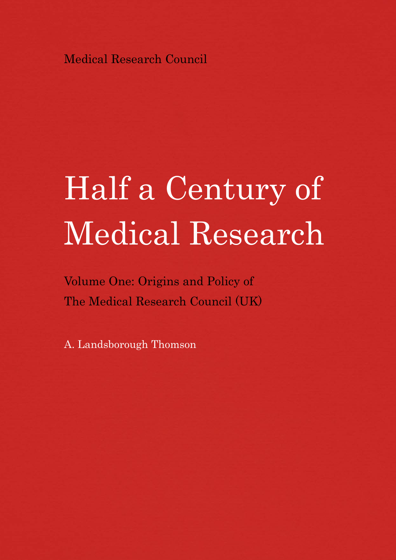Medical Research Council

# Half a Century of Medical Research

Volume One: Origins and Policy of The Medical Research Council (UK)

A. Landsborough Thomson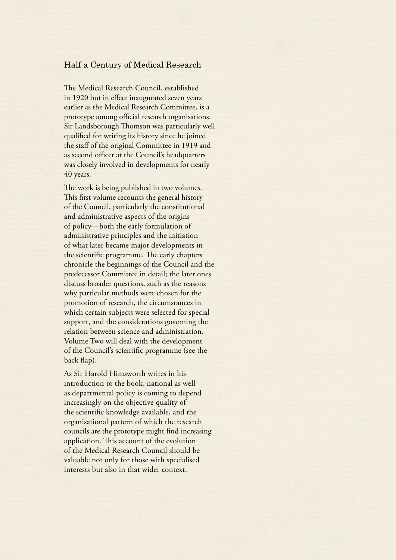#### Half a Century of Medical Research

The Medical Research Council, established in 1920 but in effect inaugurated seven years earlier as the Medical Research Committee, is a prototype among official research organisations. Sir Landsborough Thomson was particularly well qualified for writing its history since he joined the staff of the original Committee in 1919 and as second officer at the Council's headquarters was closely involved in developments for nearly 40 years.

The work is being published in two volumes. This first volume recounts the general history of the Council, particularly the constitutional and administrative aspects of the origins of policy—both the early formulation of administrative principles and the initiation of what later became major developments in the scientific programme. The early chapters chronicle the beginnings of the Council and the predecessor Committee in detail; the later ones discuss broader questions, such as the reasons why particular methods were chosen for the promotion of research, the circumstances in which certain subjects were selected for special support, and the considerations governing the relation between science and administration. Volume Two will deal with the development of the Council's scientific programme (see the back flap).

As Sir Harold Himsworth writes in his introduction to the book, national as well as departmental policy is coming to depend increasingly on the objective quality of the scientific knowledge available, and the organisational pattern of which the research councils are the prototype might find increasing application. This account of the evolution of the Medical Research Council should be valuable not only for those with specialised interests but also in that wider context.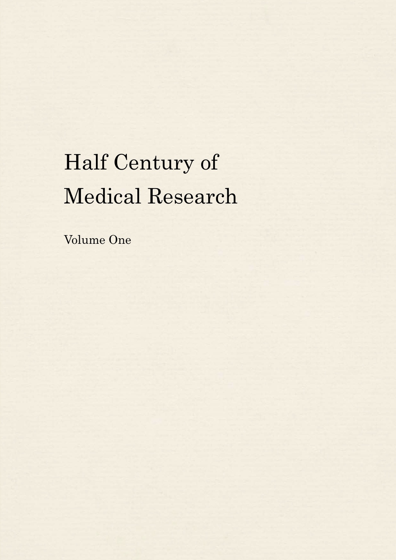## Half Century of Medical Research

Volume One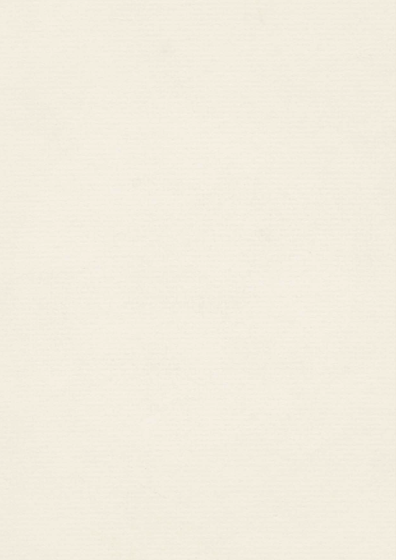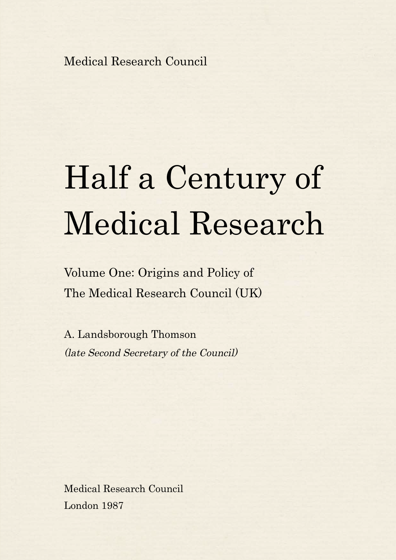Medical Research Council

# Half a Century of Medical Research

Volume One: Origins and Policy of The Medical Research Council (UK)

A. Landsborough Thomson (late Second Secretary of the Council)

Medical Research Council London 1987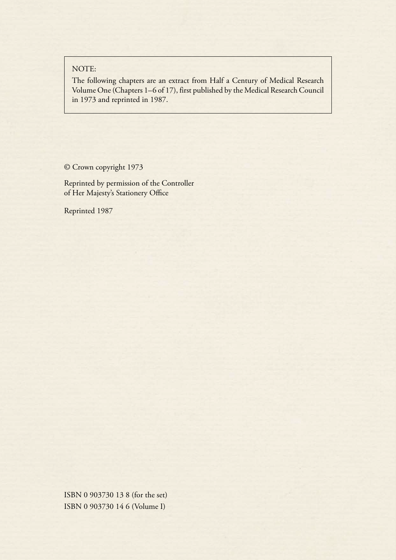#### NOTE:

The following chapters are an extract from Half a Century of Medical Research Volume One (Chapters 1–6 of 17), first published by the Medical Research Council in 1973 and reprinted in 1987.

© Crown copyright 1973

Reprinted by permission of the Controller of Her Majesty's Stationery Office

Reprinted 1987

ISBN 0 903730 13 8 (for the set) ISBN 0 903730 14 6 (Volume I)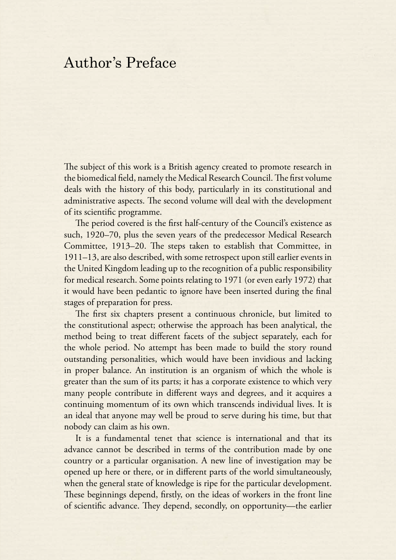## Author's Preface

The subject of this work is a British agency created to promote research in the biomedical field, namely the Medical Research Council. The first volume deals with the history of this body, particularly in its constitutional and administrative aspects. The second volume will deal with the development of its scientific programme.

The period covered is the first half-century of the Council's existence as such, 1920–70, plus the seven years of the predecessor Medical Research Committee, 1913–20. The steps taken to establish that Committee, in 1911–13, are also described, with some retrospect upon still earlier events in the United Kingdom leading up to the recognition of a public responsibility for medical research. Some points relating to 1971 (or even early 1972) that it would have been pedantic to ignore have been inserted during the final stages of preparation for press.

The first six chapters present a continuous chronicle, but limited to the constitutional aspect; otherwise the approach has been analytical, the method being to treat different facets of the subject separately, each for the whole period. No attempt has been made to build the story round outstanding personalities, which would have been invidious and lacking in proper balance. An institution is an organism of which the whole is greater than the sum of its parts; it has a corporate existence to which very many people contribute in different ways and degrees, and it acquires a continuing momentum of its own which transcends individual lives. It is an ideal that anyone may well be proud to serve during his time, but that nobody can claim as his own.

It is a fundamental tenet that science is international and that its advance cannot be described in terms of the contribution made by one country or a particular organisation. A new line of investigation may be opened up here or there, or in different parts of the world simultaneously, when the general state of knowledge is ripe for the particular development. These beginnings depend, firstly, on the ideas of workers in the front line of scientific advance. They depend, secondly, on opportunity—the earlier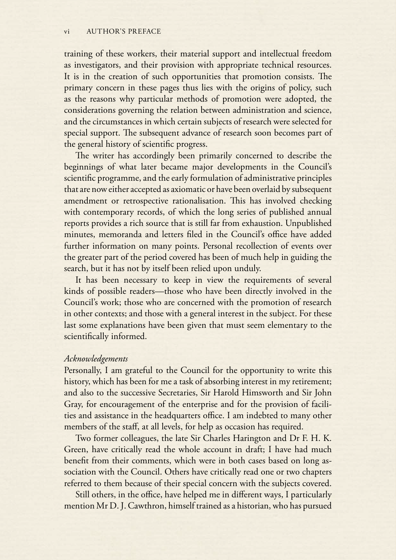training of these workers, their material support and intellectual freedom as investigators, and their provision with appropriate technical resources. It is in the creation of such opportunities that promotion consists. The primary concern in these pages thus lies with the origins of policy, such as the reasons why particular methods of promotion were adopted, the considerations governing the relation between administration and science, and the circumstances in which certain subjects of research were selected for special support. The subsequent advance of research soon becomes part of the general history of scientific progress.

The writer has accordingly been primarily concerned to describe the beginnings of what later became major developments in the Council's scientific programme, and the early formulation of administrative principles that are now either accepted as axiomatic or have been overlaid by subsequent amendment or retrospective rationalisation. This has involved checking with contemporary records, of which the long series of published annual reports provides a rich source that is still far from exhaustion. Unpublished minutes, memoranda and letters filed in the Council's office have added further information on many points. Personal recollection of events over the greater part of the period covered has been of much help in guiding the search, but it has not by itself been relied upon unduly.

It has been necessary to keep in view the requirements of several kinds of possible readers—those who have been directly involved in the Council's work; those who are concerned with the promotion of research in other contexts; and those with a general interest in the subject. For these last some explanations have been given that must seem elementary to the scientifically informed.

#### *Acknowledgements*

Personally, I am grateful to the Council for the opportunity to write this history, which has been for me a task of absorbing interest in my retirement; and also to the successive Secretaries, Sir Harold Himsworth and Sir John Gray, for encouragement of the enterprise and for the provision of facilities and assistance in the headquarters office. I am indebted to many other members of the staff, at all levels, for help as occasion has required.

Two former colleagues, the late Sir Charles Harington and Dr F. H. K. Green, have critically read the whole account in draft; I have had much benefit from their comments, which were in both cases based on long association with the Council. Others have critically read one or two chapters referred to them because of their special concern with the subjects covered.

Still others, in the office, have helped me in different ways, I particularly mention Mr D. J. Cawthron, himself trained as a historian, who has pursued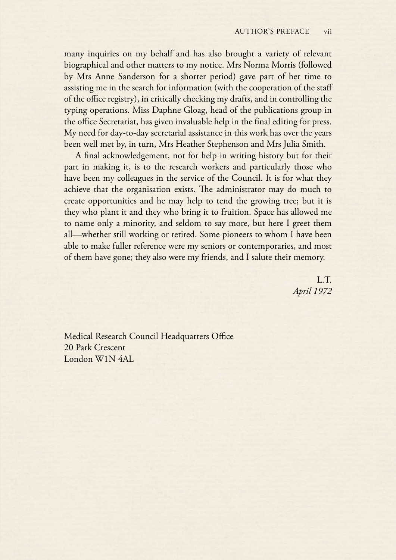many inquiries on my behalf and has also brought a variety of relevant biographical and other matters to my notice. Mrs Norma Morris (followed by Mrs Anne Sanderson for a shorter period) gave part of her time to assisting me in the search for information (with the cooperation of the staff of the office registry), in critically checking my drafts, and in controlling the typing operations. Miss Daphne Gloag, head of the publications group in the office Secretariat, has given invaluable help in the final editing for press. My need for day-to-day secretarial assistance in this work has over the years been well met by, in turn, Mrs Heather Stephenson and Mrs Julia Smith.

A final acknowledgement, not for help in writing history but for their part in making it, is to the research workers and particularly those who have been my colleagues in the service of the Council. It is for what they achieve that the organisation exists. The administrator may do much to create opportunities and he may help to tend the growing tree; but it is they who plant it and they who bring it to fruition. Space has allowed me to name only a minority, and seldom to say more, but here I greet them all—whether still working or retired. Some pioneers to whom I have been able to make fuller reference were my seniors or contemporaries, and most of them have gone; they also were my friends, and I salute their memory.

> L.T. *April 1972*

Medical Research Council Headquarters Office 20 Park Crescent London W1N 4AL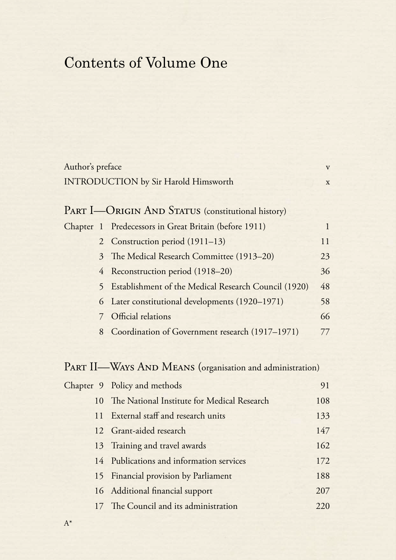## Contents of Volume One

| Author's preface                                   |                                                          | $\mathbf{V}$ |  |  |  |
|----------------------------------------------------|----------------------------------------------------------|--------------|--|--|--|
| <b>INTRODUCTION</b> by Sir Harold Himsworth        |                                                          |              |  |  |  |
|                                                    |                                                          |              |  |  |  |
|                                                    | PART I-ORIGIN AND STATUS (constitutional history)        |              |  |  |  |
|                                                    | Chapter 1 Predecessors in Great Britain (before 1911)    | $\mathbf{1}$ |  |  |  |
| $\overline{2}$                                     | Construction period (1911–13)                            | 11           |  |  |  |
| $\overline{3}$                                     | The Medical Research Committee (1913–20)                 | 23           |  |  |  |
| $\overline{4}$                                     | Reconstruction period (1918–20)                          | 36           |  |  |  |
| 5                                                  | Establishment of the Medical Research Council (1920)     | 48           |  |  |  |
| Later constitutional developments (1920-1971)<br>6 |                                                          |              |  |  |  |
| Official relations<br>$\mathcal{I}$                |                                                          |              |  |  |  |
| 8                                                  | Coordination of Government research (1917–1971)          | 77           |  |  |  |
|                                                    |                                                          |              |  |  |  |
|                                                    | PART II-WAYS AND MEANS (organisation and administration) |              |  |  |  |
|                                                    | Chapter 9 Policy and methods                             | 91           |  |  |  |
| 10                                                 | The National Institute for Medical Research              | 108          |  |  |  |
| 11                                                 | External staff and research units                        | 133          |  |  |  |
| 12                                                 | Grant-aided research                                     | 147          |  |  |  |
|                                                    |                                                          |              |  |  |  |

| 13 Training and travel awards            | 162 |
|------------------------------------------|-----|
| 14 Publications and information services | 172 |
| 15 Financial provision by Parliament     | 188 |
| 16 Additional financial support          | 207 |

17 The Council and its administration 220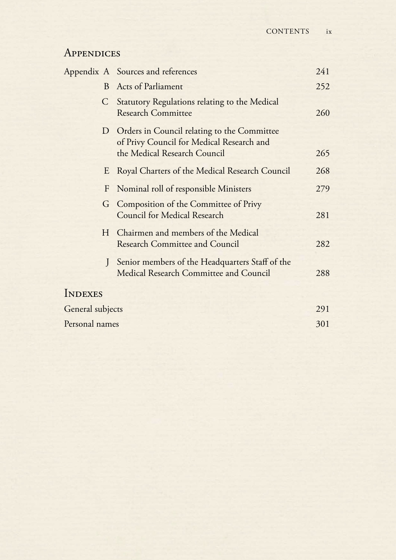### **APPENDICES**

|                  |              | Appendix A Sources and references                                                                                        | 241 |  |
|------------------|--------------|--------------------------------------------------------------------------------------------------------------------------|-----|--|
|                  | B            | <b>Acts of Parliament</b>                                                                                                | 252 |  |
| $\mathsf{C}$     |              | Statutory Regulations relating to the Medical<br><b>Research Committee</b>                                               | 260 |  |
|                  | D            | Orders in Council relating to the Committee<br>of Privy Council for Medical Research and<br>the Medical Research Council | 265 |  |
|                  |              |                                                                                                                          |     |  |
|                  | E            | Royal Charters of the Medical Research Council                                                                           | 268 |  |
|                  | F            | Nominal roll of responsible Ministers                                                                                    | 279 |  |
|                  | G            | Composition of the Committee of Privy<br><b>Council for Medical Research</b>                                             | 281 |  |
|                  | H            | Chairmen and members of the Medical<br><b>Research Committee and Council</b>                                             | 282 |  |
|                  | $\mathbf{I}$ | Senior members of the Headquarters Staff of the<br>Medical Research Committee and Council                                | 288 |  |
| <b>INDEXES</b>   |              |                                                                                                                          |     |  |
| General subjects |              |                                                                                                                          |     |  |
| Personal names   |              |                                                                                                                          |     |  |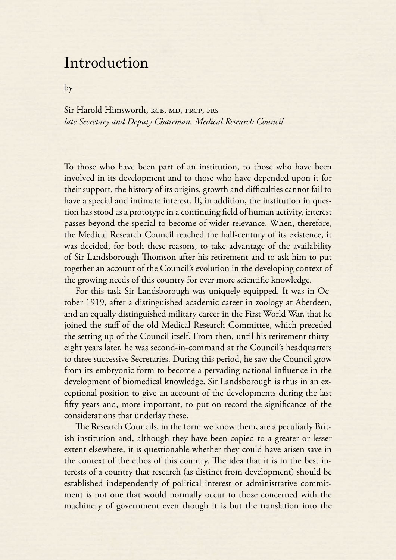## Introduction

by

Sir Harold Himsworth, KCB, MD, FRCP, FRS *late Secretary and Deputy Chairman, Medical Research Council* 

To those who have been part of an institution, to those who have been involved in its development and to those who have depended upon it for their support, the history of its origins, growth and difficulties cannot fail to have a special and intimate interest. If, in addition, the institution in question has stood as a prototype in a continuing field of human activity, interest passes beyond the special to become of wider relevance. When, therefore, the Medical Research Council reached the half-century of its existence, it was decided, for both these reasons, to take advantage of the availability of Sir Landsborough Thomson after his retirement and to ask him to put together an account of the Council's evolution in the developing context of the growing needs of this country for ever more scientific knowledge.

For this task Sir Landsborough was uniquely equipped. It was in October 1919, after a distinguished academic career in zoology at Aberdeen, and an equally distinguished military career in the First World War, that he joined the staff of the old Medical Research Committee, which preceded the setting up of the Council itself. From then, until his retirement thirtyeight years later, he was second-in-command at the Council's headquarters to three successive Secretaries. During this period, he saw the Council grow from its embryonic form to become a pervading national influence in the development of biomedical knowledge. Sir Landsborough is thus in an exceptional position to give an account of the developments during the last fifty years and, more important, to put on record the significance of the considerations that underlay these.

The Research Councils, in the form we know them, are a peculiarly British institution and, although they have been copied to a greater or lesser extent elsewhere, it is questionable whether they could have arisen save in the context of the ethos of this country. The idea that it is in the best interests of a country that research (as distinct from development) should be established independently of political interest or administrative commitment is not one that would normally occur to those concerned with the machinery of government even though it is but the translation into the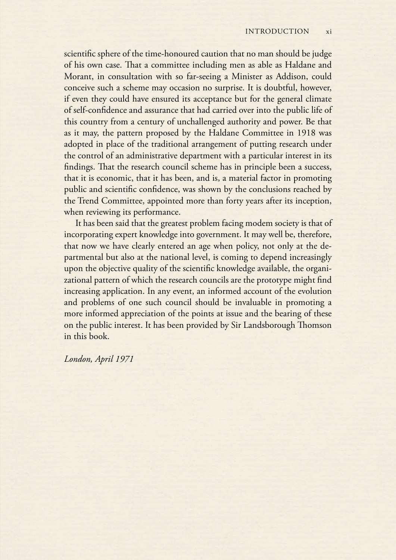scientific sphere of the time-honoured caution that no man should be judge of his own case. That a committee including men as able as Haldane and Morant, in consultation with so far-seeing a Minister as Addison, could conceive such a scheme may occasion no surprise. It is doubtful, however, if even they could have ensured its acceptance but for the general climate of self-confidence and assurance that had carried over into the public life of this country from a century of unchallenged authority and power. Be that as it may, the pattern proposed by the Haldane Committee in 1918 was adopted in place of the traditional arrangement of putting research under the control of an administrative department with a particular interest in its findings. That the research council scheme has in principle been a success, that it is economic, that it has been, and is, a material factor in promoting public and scientific confidence, was shown by the conclusions reached by the Trend Committee, appointed more than forty years after its inception, when reviewing its performance.

It has been said that the greatest problem facing modem society is that of incorporating expert knowledge into government. It may well be, therefore, that now we have clearly entered an age when policy, not only at the departmental but also at the national level, is coming to depend increasingly upon the objective quality of the scientific knowledge available, the organizational pattern of which the research councils are the prototype might find increasing application. In any event, an informed account of the evolution and problems of one such council should be invaluable in promoting a more informed appreciation of the points at issue and the bearing of these on the public interest. It has been provided by Sir Landsborough Thomson in this book.

*London, April 1971*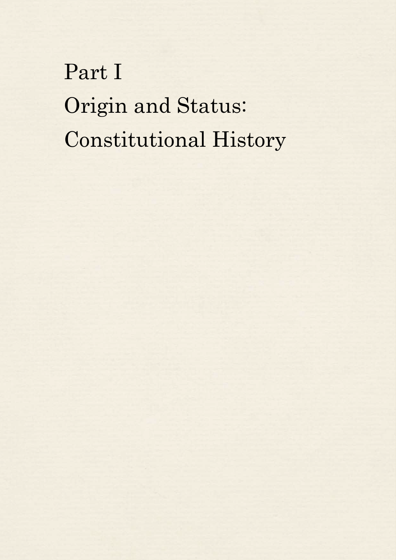## Part I Origin and Status: Constitutional History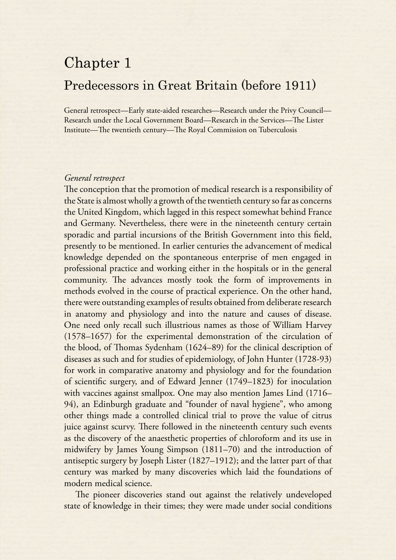## Chapter 1

### Predecessors in Great Britain (before 1911)

General retrospect—Early state-aided researches—Research under the Privy Council— Research under the Local Government Board—Research in the Services—The Lister Institute—The twentieth century—The Royal Commission on Tuberculosis

#### *General retrospect*

The conception that the promotion of medical research is a responsibility of the State is almost wholly a growth of the twentieth century so far as concerns the United Kingdom, which lagged in this respect somewhat behind France and Germany. Nevertheless, there were in the nineteenth century certain sporadic and partial incursions of the British Government into this field, presently to be mentioned. In earlier centuries the advancement of medical knowledge depended on the spontaneous enterprise of men engaged in professional practice and working either in the hospitals or in the general community. The advances mostly took the form of improvements in methods evolved in the course of practical experience. On the other hand, there were outstanding examples of results obtained from deliberate research in anatomy and physiology and into the nature and causes of disease. One need only recall such illustrious names as those of William Harvey (1578–1657) for the experimental demonstration of the circulation of the blood, of Thomas Sydenham (1624–89) for the clinical description of diseases as such and for studies of epidemiology, of John Hunter (1728-93) for work in comparative anatomy and physiology and for the foundation of scientific surgery, and of Edward Jenner (1749–1823) for inoculation with vaccines against smallpox. One may also mention James Lind (1716– 94), an Edinburgh graduate and "founder of naval hygiene", who among other things made a controlled clinical trial to prove the value of citrus juice against scurvy. There followed in the nineteenth century such events as the discovery of the anaesthetic properties of chloroform and its use in midwifery by James Young Simpson (1811–70) and the introduction of antiseptic surgery by Joseph Lister (1827–1912); and the latter part of that century was marked by many discoveries which laid the foundations of modern medical science.

The pioneer discoveries stand out against the relatively undeveloped state of knowledge in their times; they were made under social conditions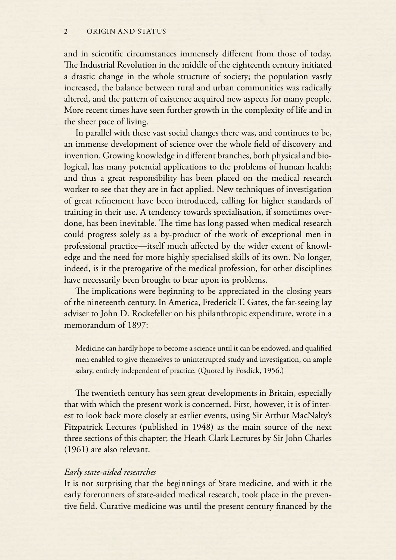and in scientific circumstances immensely different from those of today. The Industrial Revolution in the middle of the eighteenth century initiated a drastic change in the whole structure of society; the population vastly increased, the balance between rural and urban communities was radically altered, and the pattern of existence acquired new aspects for many people. More recent times have seen further growth in the complexity of life and in the sheer pace of living.

In parallel with these vast social changes there was, and continues to be, an immense development of science over the whole field of discovery and invention. Growing knowledge in different branches, both physical and biological, has many potential applications to the problems of human health; and thus a great responsibility has been placed on the medical research worker to see that they are in fact applied. New techniques of investigation of great refinement have been introduced, calling for higher standards of training in their use. A tendency towards specialisation, if sometimes overdone, has been inevitable. The time has long passed when medical research could progress solely as a by-product of the work of exceptional men in professional practice—itself much affected by the wider extent of knowledge and the need for more highly specialised skills of its own. No longer, indeed, is it the prerogative of the medical profession, for other disciplines have necessarily been brought to bear upon its problems.

The implications were beginning to be appreciated in the closing years of the nineteenth century. In America, Frederick T. Gates, the far-seeing lay adviser to John D. Rockefeller on his philanthropic expenditure, wrote in a memorandum of 1897:

Medicine can hardly hope to become a science until it can be endowed, and qualified men enabled to give themselves to uninterrupted study and investigation, on ample salary, entirely independent of practice. (Quoted by Fosdick, 1956.)

The twentieth century has seen great developments in Britain, especially that with which the present work is concerned. First, however, it is of interest to look back more closely at earlier events, using Sir Arthur MacNalty's Fitzpatrick Lectures (published in 1948) as the main source of the next three sections of this chapter; the Heath Clark Lectures by Sir John Charles (1961) are also relevant.

#### *Early state-aided researches*

It is not surprising that the beginnings of State medicine, and with it the early forerunners of state-aided medical research, took place in the preventive field. Curative medicine was until the present century financed by the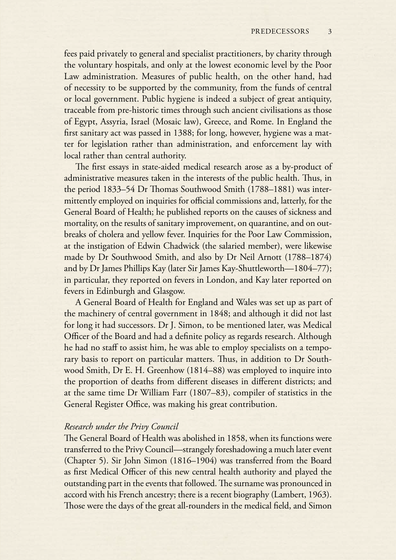fees paid privately to general and specialist practitioners, by charity through the voluntary hospitals, and only at the lowest economic level by the Poor Law administration. Measures of public health, on the other hand, had of necessity to be supported by the community, from the funds of central or local government. Public hygiene is indeed a subject of great antiquity, traceable from pre-historic times through such ancient civilisations as those of Egypt, Assyria, Israel (Mosaic law), Greece, and Rome. In England the first sanitary act was passed in 1388; for long, however, hygiene was a matter for legislation rather than administration, and enforcement lay with local rather than central authority.

The first essays in state-aided medical research arose as a by-product of administrative measures taken in the interests of the public health. Thus, in the period 1833–54 Dr Thomas Southwood Smith (1788–1881) was intermittently employed on inquiries for official commissions and, latterly, for the General Board of Health; he published reports on the causes of sickness and mortality, on the results of sanitary improvement, on quarantine, and on outbreaks of cholera and yellow fever. Inquiries for the Poor Law Commission, at the instigation of Edwin Chadwick (the salaried member), were likewise made by Dr Southwood Smith, and also by Dr Neil Arnott (1788–1874) and by Dr James Phillips Kay (later Sir James Kay-Shuttleworth—1804–77); in particular, they reported on fevers in London, and Kay later reported on fevers in Edinburgh and Glasgow.

A General Board of Health for England and Wales was set up as part of the machinery of central government in 1848; and although it did not last for long it had successors. Dr J. Simon, to be mentioned later, was Medical Officer of the Board and had a definite policy as regards research. Although he had no staff to assist him, he was able to employ specialists on a temporary basis to report on particular matters. Thus, in addition to Dr Southwood Smith, Dr E. H. Greenhow (1814–88) was employed to inquire into the proportion of deaths from different diseases in different districts; and at the same time Dr William Farr (1807–83), compiler of statistics in the General Register Office, was making his great contribution.

#### *Research under the Privy Council*

The General Board of Health was abolished in 1858, when its functions were transferred to the Privy Council—strangely foreshadowing a much later event (Chapter 5). Sir John Simon (1816–1904) was transferred from the Board as first Medical Officer of this new central health authority and played the outstanding part in the events that followed. The surname was pronounced in accord with his French ancestry; there is a recent biography (Lambert, 1963). Those were the days of the great all-rounders in the medical field, and Simon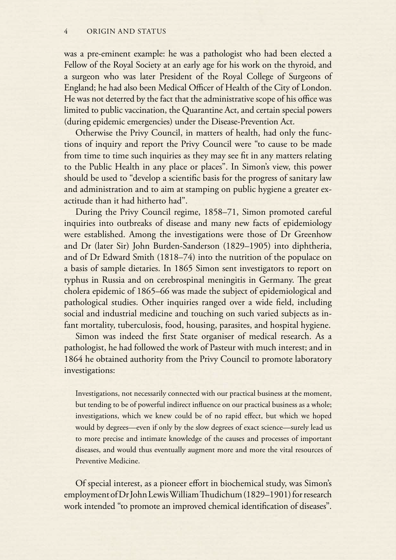was a pre-eminent example: he was a pathologist who had been elected a Fellow of the Royal Society at an early age for his work on the thyroid, and a surgeon who was later President of the Royal College of Surgeons of England; he had also been Medical Officer of Health of the City of London. He was not deterred by the fact that the administrative scope of his office was limited to public vaccination, the Quarantine Act, and certain special powers (during epidemic emergencies) under the Disease-Prevention Act.

Otherwise the Privy Council, in matters of health, had only the functions of inquiry and report the Privy Council were "to cause to be made from time to time such inquiries as they may see fit in any matters relating to the Public Health in any place or places". In Simon's view, this power should be used to "develop a scientific basis for the progress of sanitary law and administration and to aim at stamping on public hygiene a greater exactitude than it had hitherto had".

During the Privy Council regime, 1858–71, Simon promoted careful inquiries into outbreaks of disease and many new facts of epidemiology were established. Among the investigations were those of Dr Greenhow and Dr (later Sir) John Burden-Sanderson (1829–1905) into diphtheria, and of Dr Edward Smith (1818–74) into the nutrition of the populace on a basis of sample dietaries. In 1865 Simon sent investigators to report on typhus in Russia and on cerebrospinal meningitis in Germany. The great cholera epidemic of 1865–66 was made the subject of epidemiological and pathological studies. Other inquiries ranged over a wide field, including social and industrial medicine and touching on such varied subjects as infant mortality, tuberculosis, food, housing, parasites, and hospital hygiene.

Simon was indeed the first State organiser of medical research. As a pathologist, he had followed the work of Pasteur with much interest; and in 1864 he obtained authority from the Privy Council to promote laboratory investigations:

Investigations, not necessarily connected with our practical business at the moment, but tending to be of powerful indirect influence on our practical business as a whole; investigations, which we knew could be of no rapid effect, but which we hoped would by degrees—even if only by the slow degrees of exact science—surely lead us to more precise and intimate knowledge of the causes and processes of important diseases, and would thus eventually augment more and more the vital resources of Preventive Medicine.

Of special interest, as a pioneer effort in biochemical study, was Simon's employment of Dr John Lewis William Thudichum (1829–1901) for research work intended "to promote an improved chemical identification of diseases".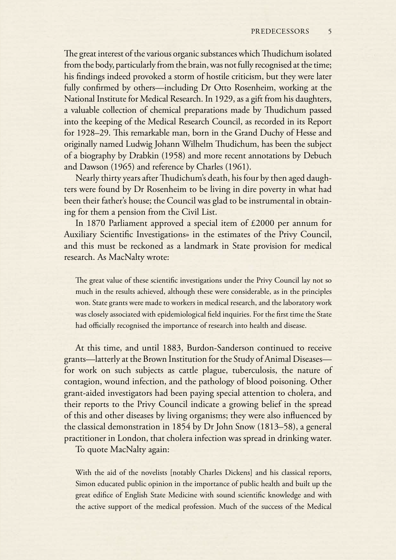The great interest of the various organic substances which Thudichum isolated from the body, particularly from the brain, was not fully recognised at the time; his findings indeed provoked a storm of hostile criticism, but they were later fully confirmed by others—including Dr Otto Rosenheim, working at the National Institute for Medical Research. In 1929, as a gift from his daughters, a valuable collection of chemical preparations made by Thudichum passed into the keeping of the Medical Research Council, as recorded in its Report for 1928–29. This remarkable man, born in the Grand Duchy of Hesse and originally named Ludwig Johann Wilhelm Thudichum, has been the subject of a biography by Drabkin (1958) and more recent annotations by Debuch and Dawson (1965) and reference by Charles (1961).

Nearly thirty years after Thudichum's death, his four by then aged daughters were found by Dr Rosenheim to be living in dire poverty in what had been their father's house; the Council was glad to be instrumental in obtaining for them a pension from the Civil List.

In 1870 Parliament approved a special item of £2000 per annum for Auxiliary Scientific Investigations» in the estimates of the Privy Council, and this must be reckoned as a landmark in State provision for medical research. As MacNalty wrote:

The great value of these scientific investigations under the Privy Council lay not so much in the results achieved, although these were considerable, as in the principles won. State grants were made to workers in medical research, and the laboratory work was closely associated with epidemiological field inquiries. For the first time the State had officially recognised the importance of research into health and disease.

At this time, and until 1883, Burdon-Sanderson continued to receive grants—latterly at the Brown Institution for the Study of Animal Diseases for work on such subjects as cattle plague, tuberculosis, the nature of contagion, wound infection, and the pathology of blood poisoning. Other grant-aided investigators had been paying special attention to cholera, and their reports to the Privy Council indicate a growing belief in the spread of this and other diseases by living organisms; they were also influenced by the classical demonstration in 1854 by Dr John Snow (1813–58), a general practitioner in London, that cholera infection was spread in drinking water.

To quote MacNalty again:

With the aid of the novelists [notably Charles Dickens] and his classical reports, Simon educated public opinion in the importance of public health and built up the great edifice of English State Medicine with sound scientific knowledge and with the active support of the medical profession. Much of the success of the Medical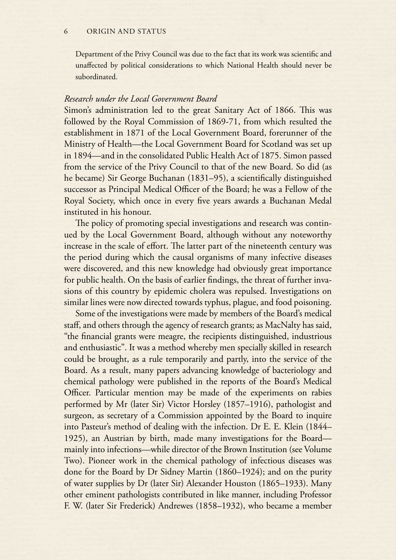#### 6 ORIGIN AND STATUS

Department of the Privy Council was due to the fact that its work was scientific and unaffected by political considerations to which National Health should never be subordinated.

#### *Research under the Local Government Board*

Simon's administration led to the great Sanitary Act of 1866. This was followed by the Royal Commission of 1869-71, from which resulted the establishment in 1871 of the Local Government Board, forerunner of the Ministry of Health—the Local Government Board for Scotland was set up in 1894—and in the consolidated Public Health Act of 1875. Simon passed from the service of the Privy Council to that of the new Board. So did (as he became) Sir George Buchanan (1831–95), a scientifically distinguished successor as Principal Medical Officer of the Board; he was a Fellow of the Royal Society, which once in every five years awards a Buchanan Medal instituted in his honour.

The policy of promoting special investigations and research was continued by the Local Government Board, although without any noteworthy increase in the scale of effort. The latter part of the nineteenth century was the period during which the causal organisms of many infective diseases were discovered, and this new knowledge had obviously great importance for public health. On the basis of earlier findings, the threat of further invasions of this country by epidemic cholera was repulsed. Investigations on similar lines were now directed towards typhus, plague, and food poisoning.

Some of the investigations were made by members of the Board's medical staff, and others through the agency of research grants; as MacNalty has said, "the financial grants were meagre, the recipients distinguished, industrious and enthusiastic". It was a method whereby men specially skilled in research could be brought, as a rule temporarily and partly, into the service of the Board. As a result, many papers advancing knowledge of bacteriology and chemical pathology were published in the reports of the Board's Medical Officer. Particular mention may be made of the experiments on rabies performed by Mr (later Sir) Victor Horsley (1857–1916), pathologist and surgeon, as secretary of a Commission appointed by the Board to inquire into Pasteur's method of dealing with the infection. Dr E. E. Klein (1844– 1925), an Austrian by birth, made many investigations for the Board mainly into infections—while director of the Brown Institution (see Volume Two). Pioneer work in the chemical pathology of infectious diseases was done for the Board by Dr Sidney Martin (1860–1924); and on the purity of water supplies by Dr (later Sir) Alexander Houston (1865–1933). Many other eminent pathologists contributed in like manner, including Professor F. W. (later Sir Frederick) Andrewes (1858–1932), who became a member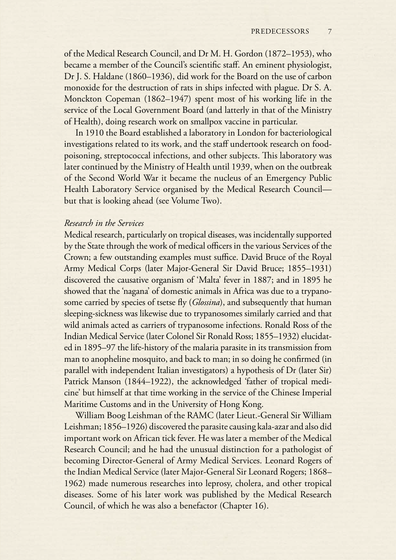of the Medical Research Council, and Dr M. H. Gordon (1872–1953), who became a member of the Council's scientific staff. An eminent physiologist, Dr J. S. Haldane (1860–1936), did work for the Board on the use of carbon monoxide for the destruction of rats in ships infected with plague. Dr S. A. Monckton Copeman (1862–1947) spent most of his working life in the service of the Local Government Board (and latterly in that of the Ministry of Health), doing research work on smallpox vaccine in particular.

In 1910 the Board established a laboratory in London for bacteriological investigations related to its work, and the staff undertook research on foodpoisoning, streptococcal infections, and other subjects. This laboratory was later continued by the Ministry of Health until 1939, when on the outbreak of the Second World War it became the nucleus of an Emergency Public Health Laboratory Service organised by the Medical Research Council but that is looking ahead (see Volume Two).

#### *Research in the Services*

Medical research, particularly on tropical diseases, was incidentally supported by the State through the work of medical officers in the various Services of the Crown; a few outstanding examples must suffice. David Bruce of the Royal Army Medical Corps (later Major-General Sir David Bruce; 1855–1931) discovered the causative organism of 'Malta' fever in 1887; and in 1895 he showed that the 'nagana' of domestic animals in Africa was due to a trypanosome carried by species of tsetse fly (*Glossina*), and subsequently that human sleeping-sickness was likewise due to trypanosomes similarly carried and that wild animals acted as carriers of trypanosome infections. Ronald Ross of the Indian Medical Service (later Colonel Sir Ronald Ross; 1855–1932) elucidated in 1895–97 the life-history of the malaria parasite in its transmission from man to anopheline mosquito, and back to man; in so doing he confirmed (in parallel with independent Italian investigators) a hypothesis of Dr (later Sir) Patrick Manson (1844–1922), the acknowledged 'father of tropical medicine' but himself at that time working in the service of the Chinese Imperial Maritime Customs and in the University of Hong Kong.

William Boog Leishman of the RAMC (later Lieut.-General Sir William Leishman; 1856–1926) discovered the parasite causing kala-azar and also did important work on African tick fever. He was later a member of the Medical Research Council; and he had the unusual distinction for a pathologist of becoming Director-General of Army Medical Services. Leonard Rogers of the Indian Medical Service (later Major-General Sir Leonard Rogers; 1868– 1962) made numerous researches into leprosy, cholera, and other tropical diseases. Some of his later work was published by the Medical Research Council, of which he was also a benefactor (Chapter 16).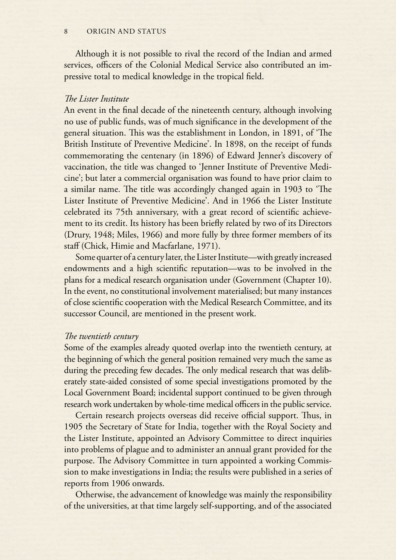Although it is not possible to rival the record of the Indian and armed services, officers of the Colonial Medical Service also contributed an impressive total to medical knowledge in the tropical field.

#### *The Lister Institute*

An event in the final decade of the nineteenth century, although involving no use of public funds, was of much significance in the development of the general situation. This was the establishment in London, in 1891, of 'The British Institute of Preventive Medicine'. In 1898, on the receipt of funds commemorating the centenary (in 1896) of Edward Jenner's discovery of vaccination, the title was changed to 'Jenner Institute of Preventive Medicine'; but later a commercial organisation was found to have prior claim to a similar name. The title was accordingly changed again in 1903 to 'The Lister Institute of Preventive Medicine'. And in 1966 the Lister Institute celebrated its 75th anniversary, with a great record of scientific achievement to its credit. Its history has been briefly related by two of its Directors (Drury, 1948; Miles, 1966) and more fully by three former members of its staff (Chick, Himie and Macfarlane, 1971).

Some quarter of a century later, the Lister Institute—with greatly increased endowments and a high scientific reputation—was to be involved in the plans for a medical research organisation under (Government (Chapter 10). In the event, no constitutional involvement materialised; but many instances of close scientific cooperation with the Medical Research Committee, and its successor Council, are mentioned in the present work.

#### *The twentieth century*

Some of the examples already quoted overlap into the twentieth century, at the beginning of which the general position remained very much the same as during the preceding few decades. The only medical research that was deliberately state-aided consisted of some special investigations promoted by the Local Government Board; incidental support continued to be given through research work undertaken by whole-time medical officers in the public service.

Certain research projects overseas did receive official support. Thus, in 1905 the Secretary of State for India, together with the Royal Society and the Lister Institute, appointed an Advisory Committee to direct inquiries into problems of plague and to administer an annual grant provided for the purpose. The Advisory Committee in turn appointed a working Commission to make investigations in India; the results were published in a series of reports from 1906 onwards.

Otherwise, the advancement of knowledge was mainly the responsibility of the universities, at that time largely self-supporting, and of the associated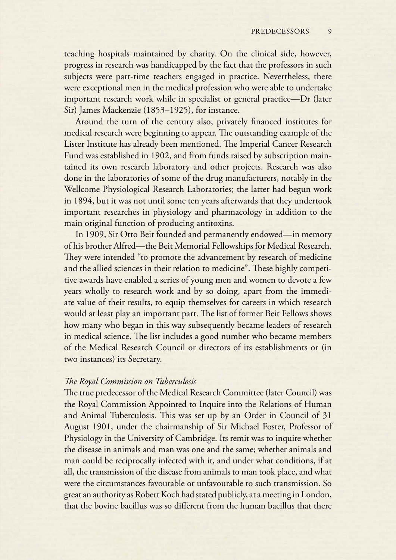teaching hospitals maintained by charity. On the clinical side, however, progress in research was handicapped by the fact that the professors in such subjects were part-time teachers engaged in practice. Nevertheless, there were exceptional men in the medical profession who were able to undertake important research work while in specialist or general practice—Dr (later Sir) James Mackenzie (1853–1925), for instance.

Around the turn of the century also, privately financed institutes for medical research were beginning to appear. The outstanding example of the Lister Institute has already been mentioned. The Imperial Cancer Research Fund was established in 1902, and from funds raised by subscription maintained its own research laboratory and other projects. Research was also done in the laboratories of some of the drug manufacturers, notably in the Wellcome Physiological Research Laboratories; the latter had begun work in 1894, but it was not until some ten years afterwards that they undertook important researches in physiology and pharmacology in addition to the main original function of producing antitoxins.

In 1909, Sir Otto Beit founded and permanently endowed—in memory of his brother Alfred—the Beit Memorial Fellowships for Medical Research. They were intended "to promote the advancement by research of medicine and the allied sciences in their relation to medicine". These highly competitive awards have enabled a series of young men and women to devote a few years wholly to research work and by so doing, apart from the immediate value of their results, to equip themselves for careers in which research would at least play an important part. The list of former Beit Fellows shows how many who began in this way subsequently became leaders of research in medical science. The list includes a good number who became members of the Medical Research Council or directors of its establishments or (in two instances) its Secretary.

#### *The Royal Commission on Tuberculosis*

The true predecessor of the Medical Research Committee (later Council) was the Royal Commission Appointed to Inquire into the Relations of Human and Animal Tuberculosis. This was set up by an Order in Council of 31 August 1901, under the chairmanship of Sir Michael Foster, Professor of Physiology in the University of Cambridge. Its remit was to inquire whether the disease in animals and man was one and the same; whether animals and man could be reciprocally infected with it, and under what conditions, if at all, the transmission of the disease from animals to man took place, and what were the circumstances favourable or unfavourable to such transmission. So great an authority as Robert Koch had stated publicly, at a meeting in London, that the bovine bacillus was so different from the human bacillus that there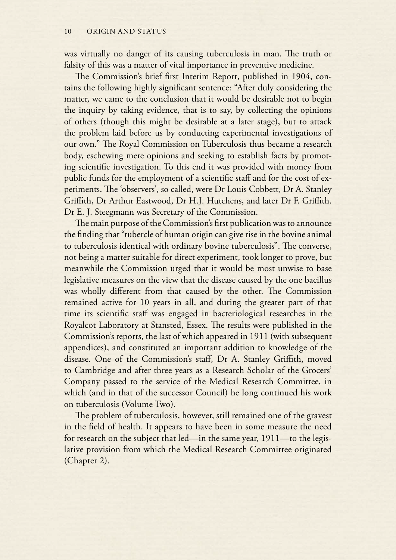was virtually no danger of its causing tuberculosis in man. The truth or falsity of this was a matter of vital importance in preventive medicine.

The Commission's brief first Interim Report, published in 1904, contains the following highly significant sentence: "After duly considering the matter, we came to the conclusion that it would be desirable not to begin the inquiry by taking evidence, that is to say, by collecting the opinions of others (though this might be desirable at a later stage), but to attack the problem laid before us by conducting experimental investigations of our own." The Royal Commission on Tuberculosis thus became a research body, eschewing mere opinions and seeking to establish facts by promoting scientific investigation. To this end it was provided with money from public funds for the employment of a scientific staff and for the cost of experiments. The 'observers', so called, were Dr Louis Cobbett, Dr A. Stanley Griffith, Dr Arthur Eastwood, Dr H.J. Hutchens, and later Dr F. Griffith. Dr E. J. Steegmann was Secretary of the Commission.

The main purpose of the Commission's first publication was to announce the finding that "tubercle of human origin can give rise in the bovine animal to tuberculosis identical with ordinary bovine tuberculosis". The converse, not being a matter suitable for direct experiment, took longer to prove, but meanwhile the Commission urged that it would be most unwise to base legislative measures on the view that the disease caused by the one bacillus was wholly different from that caused by the other. The Commission remained active for 10 years in all, and during the greater part of that time its scientific staff was engaged in bacteriological researches in the Royalcot Laboratory at Stansted, Essex. The results were published in the Commission's reports, the last of which appeared in 1911 (with subsequent appendices), and constituted an important addition to knowledge of the disease. One of the Commission's staff, Dr A. Stanley Griffith, moved to Cambridge and after three years as a Research Scholar of the Grocers' Company passed to the service of the Medical Research Committee, in which (and in that of the successor Council) he long continued his work on tuberculosis (Volume Two).

The problem of tuberculosis, however, still remained one of the gravest in the field of health. It appears to have been in some measure the need for research on the subject that led—in the same year, 1911—to the legislative provision from which the Medical Research Committee originated (Chapter 2).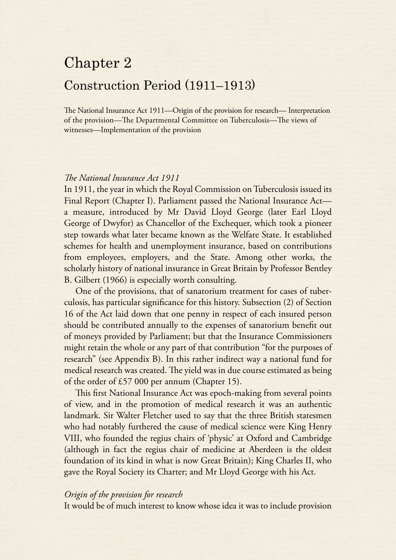## Chapter 2 Construction Period (1911–1913)

The National Insurance Act 1911—Origin of the provision for research— Interpretation of the provision—The Departmental Committee on Tuberculosis—The views of witnesses—Implementation of the provision

#### *The National Insurance Act 1911*

In 1911, the year in which the Royal Commission on Tuberculosis issued its Final Report (Chapter I). Parliament passed the National Insurance Act a measure, introduced by Mr David Lloyd George (later Earl Lloyd George of Dwyfor) as Chancellor of the Exchequer, which took a pioneer step towards what later became known as the Welfare State. It established schemes for health and unemployment insurance, based on contributions from employees, employers, and the State. Among other works, the scholarly history of national insurance in Great Britain by Professor Bentley B. Gilbert (1966) is especially worth consulting.

One of the provisions, that of sanatorium treatment for cases of tuberculosis, has particular significance for this history. Subsection (2) of Section 16 of the Act laid down that one penny in respect of each insured person should be contributed annually to the expenses of sanatorium benefit out of moneys provided by Parliament; but that the Insurance Commissioners might retain the whole or any part of that contribution "for the purposes of research" (see Appendix B). In this rather indirect way a national fund for medical research was created. The yield was in due course estimated as being of the order of £57 000 per annum (Chapter 15).

This first National Insurance Act was epoch-making from several points of view, and in the promotion of medical research it was an authentic landmark. Sir Walter Fletcher used to say that the three British statesmen who had notably furthered the cause of medical science were King Henry VIII, who founded the regius chairs of 'physic' at Oxford and Cambridge (although in fact the regius chair of medicine at Aberdeen is the oldest foundation of its kind in what is now Great Britain); King Charles II, who gave the Royal Society its Charter; and Mr Lloyd George with his Act.

#### *Origin of the provision for research*

It would be of much interest to know whose idea it was to include provision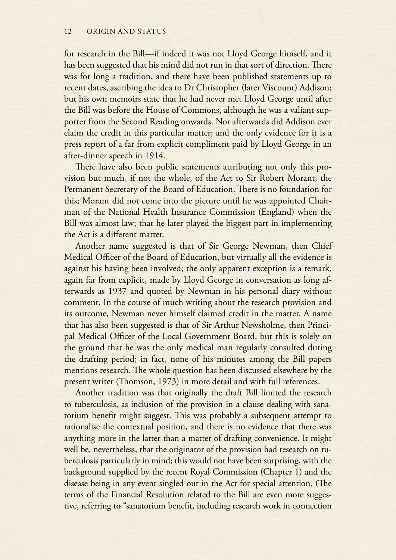for research in the Bill—if indeed it was not Lloyd George himself, and it has been suggested that his mind did not run in that sort of direction. There was for long a tradition, and there have been published statements up to recent dates, ascribing the idea to Dr Christopher (later Viscount) Addison; but his own memoirs state that he had never met Lloyd George until after the Bill was before the House of Commons, although he was a valiant supporter from the Second Reading onwards. Nor afterwards did Addison ever claim the credit in this particular matter; and the only evidence for it is a press report of a far from explicit compliment paid by Lloyd George in an after-dinner speech in 1914.

There have also been public statements attributing not only this provision but much, if not the whole, of the Act to Sir Robert Morant, the Permanent Secretary of the Board of Education. There is no foundation for this; Morant did not come into the picture until he was appointed Chairman of the National Health Insurance Commission (England) when the Bill was almost law; that he later played the biggest part in implementing the Act is a different matter.

Another name suggested is that of Sir George Newman, then Chief Medical Officer of the Board of Education, but virtually all the evidence is against his having been involved; the only apparent exception is a remark, again far from explicit, made by Lloyd George in conversation as long afterwards as 1937 and quoted by Newman in his personal diary without comment. In the course of much writing about the research provision and its outcome, Newman never himself claimed credit in the matter. A name that has also been suggested is that of Sir Arthur Newsholme, then Principal Medical Officer of the Local Government Board, but this is solely on the ground that he was the only medical man regularly consulted during the drafting period; in fact, none of his minutes among the Bill papers mentions research. The whole question has been discussed elsewhere by the present writer (Thomson, 1973) in more detail and with full references.

Another tradition was that originally the draft Bill limited the research to tuberculosis, as inclusion of the provision in a clause dealing with sanatorium benefit might suggest. This was probably a subsequent attempt to rationalise the contextual position, and there is no evidence that there was anything more in the latter than a matter of drafting convenience. It might well be, nevertheless, that the originator of the provision had research on tuberculosis particularly in mind; this would not have been surprising, with the background supplied by the recent Royal Commission (Chapter 1) and the disease being in any event singled out in the Act for special attention. (The terms of the Financial Resolution related to the Bill are even more suggestive, referring to "sanatorium benefit, including research work in connection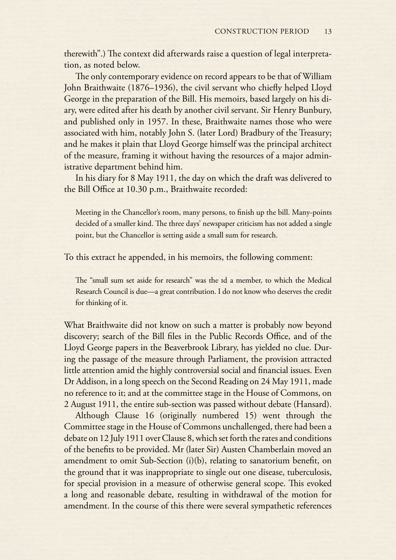therewith".) The context did afterwards raise a question of legal interpretation, as noted below.

The only contemporary evidence on record appears to be that of William John Braithwaite (1876–1936), the civil servant who chiefly helped Lloyd George in the preparation of the Bill. His memoirs, based largely on his diary, were edited after his death by another civil servant. Sir Henry Bunbury, and published only in 1957. In these, Braithwaite names those who were associated with him, notably John S. (later Lord) Bradbury of the Treasury; and he makes it plain that Lloyd George himself was the principal architect of the measure, framing it without having the resources of a major administrative department behind him.

In his diary for 8 May 1911, the day on which the draft was delivered to the Bill Office at 10.30 p.m., Braithwaite recorded:

Meeting in the Chancellor's room, many persons, to finish up the bill. Many-points decided of a smaller kind. The three days' newspaper criticism has not added a single point, but the Chancellor is setting aside a small sum for research.

To this extract he appended, in his memoirs, the following comment:

The "small sum set aside for research" was the id a member, to which the Medical Research Council is due—a great contribution. I do not know who deserves the credit for thinking of it.

What Braithwaite did not know on such a matter is probably now beyond discovery; search of the Bill files in the Public Records Office, and of the Lloyd George papers in the Beaverbrook Library, has yielded no clue. During the passage of the measure through Parliament, the provision attracted little attention amid the highly controversial social and financial issues. Even Dr Addison, in a long speech on the Second Reading on 24 May 1911, made no reference to it; and at the committee stage in the House of Commons, on 2 August 1911, the entire sub-section was passed without debate (Hansard).

Although Clause 16 (originally numbered 15) went through the Committee stage in the House of Commons unchallenged, there had been a debate on 12 July 1911 over Clause 8, which set forth the rates and conditions of the benefits to be provided. Mr (later Sir) Austen Chamberlain moved an amendment to omit Sub-Section (i)(b), relating to sanatorium benefit, on the ground that it was inappropriate to single out one disease, tuberculosis, for special provision in a measure of otherwise general scope. This evoked a long and reasonable debate, resulting in withdrawal of the motion for amendment. In the course of this there were several sympathetic references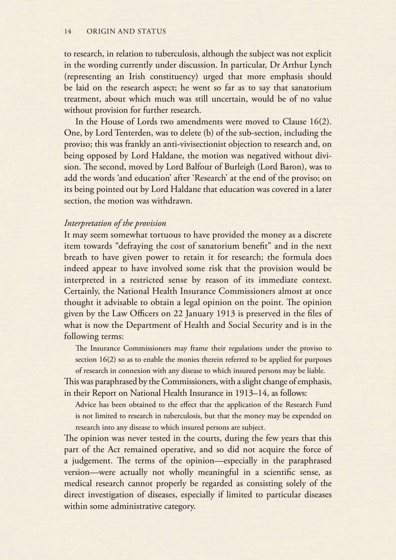to research, in relation to tuberculosis, although the subject was not explicit in the wording currently under discussion. In particular, Dr Arthur Lynch (representing an Irish constituency) urged that more emphasis should be laid on the research aspect; he went so far as to say that sanatorium treatment, about which much was still uncertain, would be of no value without provision for further research.

In the House of Lords two amendments were moved to Clause 16(2). One, by Lord Tenterden, was to delete (b) of the sub-section, including the proviso; this was frankly an anti-vivisectionist objection to research and, on being opposed by Lord Haldane, the motion was negatived without division. The second, moved by Lord Balfour of Burleigh (Lord Baron), was to add the words 'and education' after 'Research' at the end of the proviso; on its being pointed out by Lord Haldane that education was covered in a later section, the motion was withdrawn.

#### *Interpretation of the provision*

It may seem somewhat tortuous to have provided the money as a discrete item towards "defraying the cost of sanatorium benefit" and in the next breath to have given power to retain it for research; the formula does indeed appear to have involved some risk that the provision would be interpreted in a restricted sense by reason of its immediate context. Certainly, the National Health Insurance Commissioners almost at once thought it advisable to obtain a legal opinion on the point. The opinion given by the Law Officers on 22 January 1913 is preserved in the files of what is now the Department of Health and Social Security and is in the following terms:

The Insurance Commissioners may frame their regulations under the proviso to section 16(2) so as to enable the monies therein referred to be applied for purposes of research in connexion with any disease to which insured persons may be liable.

This was paraphrased by the Commissioners, with a slight change of emphasis, in their Report on National Health Insurance in 1913–14, as follows:

Advice has been obtained to the effect that the application of the Research Fund is not limited to research in tuberculosis, but that the money may be expended on research into any disease to which insured persons are subject.

The opinion was never tested in the courts, during the few years that this part of the Act remained operative, and so did not acquire the force of a judgement. The terms of the opinion—especially in the paraphrased version—were actually not wholly meaningful in a scientific sense, as medical research cannot properly be regarded as consisting solely of the direct investigation of diseases, especially if limited to particular diseases within some administrative category.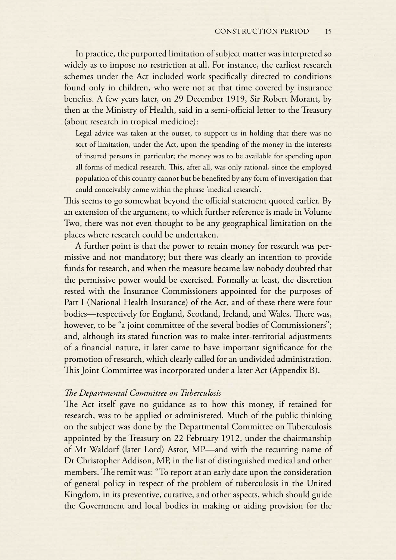In practice, the purported limitation of subject matter was interpreted so widely as to impose no restriction at all. For instance, the earliest research schemes under the Act included work specifically directed to conditions found only in children, who were not at that time covered by insurance benefits. A few years later, on 29 December 1919, Sir Robert Morant, by then at the Ministry of Health, said in a semi-official letter to the Treasury (about research in tropical medicine):

Legal advice was taken at the outset, to support us in holding that there was no sort of limitation, under the Act, upon the spending of the money in the interests of insured persons in particular; the money was to be available for spending upon all forms of medical research. This, after all, was only rational, since the employed population of this country cannot but be benefited by any form of investigation that could conceivably come within the phrase 'medical research'.

This seems to go somewhat beyond the official statement quoted earlier. By an extension of the argument, to which further reference is made in Volume Two, there was not even thought to be any geographical limitation on the places where research could be undertaken.

A further point is that the power to retain money for research was permissive and not mandatory; but there was clearly an intention to provide funds for research, and when the measure became law nobody doubted that the permissive power would be exercised. Formally at least, the discretion rested with the Insurance Commissioners appointed for the purposes of Part I (National Health Insurance) of the Act, and of these there were four bodies—respectively for England, Scotland, Ireland, and Wales. There was, however, to be "a joint committee of the several bodies of Commissioners"; and, although its stated function was to make inter-territorial adjustments of a financial nature, it later came to have important significance for the promotion of research, which clearly called for an undivided administration. This Joint Committee was incorporated under a later Act (Appendix B).

#### *The Departmental Committee on Tuberculosis*

The Act itself gave no guidance as to how this money, if retained for research, was to be applied or administered. Much of the public thinking on the subject was done by the Departmental Committee on Tuberculosis appointed by the Treasury on 22 February 1912, under the chairmanship of Mr Waldorf (later Lord) Astor, MP—and with the recurring name of Dr Christopher Addison, MP, in the list of distinguished medical and other members. The remit was: "To report at an early date upon the consideration of general policy in respect of the problem of tuberculosis in the United Kingdom, in its preventive, curative, and other aspects, which should guide the Government and local bodies in making or aiding provision for the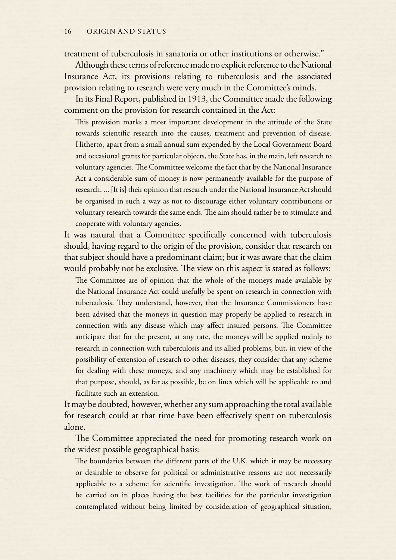treatment of tuberculosis in sanatoria or other institutions or otherwise."

Although these terms of reference made no explicit reference to the National Insurance Act, its provisions relating to tuberculosis and the associated provision relating to research were very much in the Committee's minds.

In its Final Report, published in 1913, the Committee made the following comment on the provision for research contained in the Act:

This provision marks a most important development in the attitude of the State towards scientific research into the causes, treatment and prevention of disease. Hitherto, apart from a small annual sum expended by the Local Government Board and occasional grants for particular objects, the State has, in the main, left research to voluntary agencies. The Committee welcome the fact that by the National Insurance Act a considerable sum of money is now permanently available for the purpose of research. ... [It is] their opinion that research under the National Insurance Act should be organised in such a way as not to discourage either voluntary contributions or voluntary research towards the same ends. The aim should rather be to stimulate and cooperate with voluntary agencies.

It was natural that a Committee specifically concerned with tuberculosis should, having regard to the origin of the provision, consider that research on that subject should have a predominant claim; but it was aware that the claim would probably not be exclusive. The view on this aspect is stated as follows:

The Committee are of opinion that the whole of the moneys made available by the National Insurance Act could usefully be spent on research in connection with tuberculosis. They understand, however, that the Insurance Commissioners have been advised that the moneys in question may properly be applied to research in connection with any disease which may affect insured persons. The Committee anticipate that for the present, at any rate, the moneys will be applied mainly to research in connection with tuberculosis and its allied problems, but, in view of the possibility of extension of research to other diseases, they consider that any scheme for dealing with these moneys, and any machinery which may be established for that purpose, should, as far as possible, be on lines which will be applicable to and facilitate such an extension.

It may be doubted, however, whether any sum approaching the total available for research could at that time have been effectively spent on tuberculosis alone.

The Committee appreciated the need for promoting research work on the widest possible geographical basis:

The boundaries between the different parts of the U.K. which it may be necessary or desirable to observe for political or administrative reasons are not necessarily applicable to a scheme for scientific investigation. The work of research should be carried on in places having the best facilities for the particular investigation contemplated without being limited by consideration of geographical situation,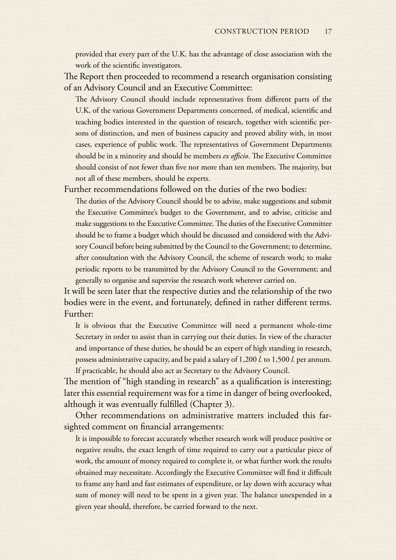provided that every part of the U.K. has the advantage of close association with the work of the scientific investigators.

The Report then proceeded to recommend a research organisation consisting of an Advisory Council and an Executive Committee:

The Advisory Council should include representatives from different parts of the U.K, of the various Government Departments concerned, of medical, scientific and teaching bodies interested in the question of research, together with scientific persons of distinction, and men of business capacity and proved ability with, in most cases, experience of public work. The representatives of Government Departments should be in a minority and should be members *ex officio*. The Executive Committee should consist of not fewer than five nor more than ten members. The majority, but not all of these members, should be experts.

Further recommendations followed on the duties of the two bodies:

The duties of the Advisory Council should be to advise, make suggestions and submit the Executive Committee's budget to the Government, and to advise, criticise and make suggestions to the Executive Committee. The duties of the Executive Committee should be to frame a budget which should be discussed and considered with the Advisory Council before being submitted by the Council to the Government; to determine, after consultation with the Advisory Council, the scheme of research work; to make periodic reports to be transmitted by the Advisory Council to the Government; and generally to organise and supervise the research work wherever carried on.

It will be seen later that the respective duties and the relationship of the two bodies were in the event, and fortunately, defined in rather different terms. Further:

It is obvious that the Executive Committee will need a permanent whole-time Secretary in order to assist than in carrying out their duties. In view of the character and importance of these duties, he should be an expert of high standing in research, possess administrative capacity, and be paid a salary of 1,200 *l.* to 1,500 *l.* per annum. If practicable, he should also act as Secretary to the Advisory Council.

The mention of "high standing in research" as a qualification is interesting; later this essential requirement was for a time in danger of being overlooked, although it was eventually fulfilled (Chapter 3).

Other recommendations on administrative matters included this farsighted comment on financial arrangements:

It is impossible to forecast accurately whether research work will produce positive or negative results, the exact length of time required to carry out a particular piece of work, the amount of money required to complete it, or what further work the results obtained may necessitate. Accordingly the Executive Committee will find it difficult to frame any hard and fast estimates of expenditure, or lay down with accuracy what sum of money will need to be spent in a given year. The balance unexpended in a given year should, therefore, be carried forward to the next.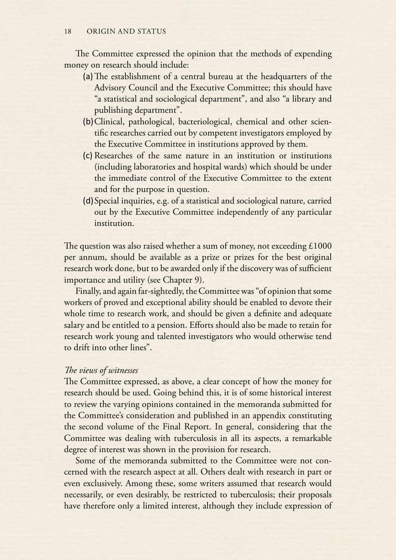The Committee expressed the opinion that the methods of expending money on research should include:

- (a)The establishment of a central bureau at the headquarters of the Advisory Council and the Executive Committee; this should have "a statistical and sociological department", and also "a library and publishing department".
- (b)Clinical, pathological, bacteriological, chemical and other scientific researches carried out by competent investigators employed by the Executive Committee in institutions approved by them.
- (c) Researches of the same nature in an institution or institutions (including laboratories and hospital wards) which should be under the immediate control of the Executive Committee to the extent and for the purpose in question.
- (d)Special inquiries, e.g. of a statistical and sociological nature, carried out by the Executive Committee independently of any particular institution.

The question was also raised whether a sum of money, not exceeding  $\text{\pounds}1000$ per annum, should be available as a prize or prizes for the best original research work done, but to be awarded only if the discovery was of sufficient importance and utility (see Chapter 9).

Finally, and again far-sightedly, the Committee was "of opinion that some workers of proved and exceptional ability should be enabled to devote their whole time to research work, and should be given a definite and adequate salary and be entitled to a pension. Efforts should also be made to retain for research work young and talented investigators who would otherwise tend to drift into other lines".

#### *The views of witnesses*

The Committee expressed, as above, a clear concept of how the money for research should be used. Going behind this, it is of some historical interest to review the varying opinions contained in the memoranda submitted for the Committee's consideration and published in an appendix constituting the second volume of the Final Report. In general, considering that the Committee was dealing with tuberculosis in all its aspects, a remarkable degree of interest was shown in the provision for research.

Some of the memoranda submitted to the Committee were not concerned with the research aspect at all. Others dealt with research in part or even exclusively. Among these, some writers assumed that research would necessarily, or even desirably, be restricted to tuberculosis; their proposals have therefore only a limited interest, although they include expression of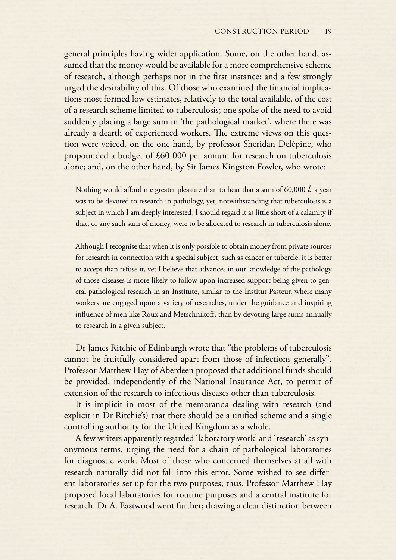general principles having wider application. Some, on the other hand, assumed that the money would be available for a more comprehensive scheme of research, although perhaps not in the first instance; and a few strongly urged the desirability of this. Of those who examined the financial implications most formed low estimates, relatively to the total available, of the cost of a research scheme limited to tuberculosis; one spoke of the need to avoid suddenly placing a large sum in 'the pathological market', where there was already a dearth of experienced workers. The extreme views on this question were voiced, on the one hand, by professor Sheridan Delépine, who propounded a budget of £60 000 per annum for research on tuberculosis alone; and, on the other hand, by Sir James Kingston Fowler, who wrote:

Nothing would afford me greater pleasure than to hear that a sum of 60,000 *l.* a year was to be devoted to research in pathology, yet, notwithstanding that tuberculosis is a subject in which I am deeply interested, I should regard it as little short of a calamity if that, or any such sum of money, were to be allocated to research in tuberculosis alone.

Although I recognise that when it is only possible to obtain money from private sources for research in connection with a special subject, such as cancer or tubercle, it is better to accept than refuse it, yet I believe that advances in our knowledge of the pathology of those diseases is more likely to follow upon increased support being given to general pathological research in an Institute, similar to the Institut Pasteur, where many workers are engaged upon a variety of researches, under the guidance and inspiring influence of men like Roux and Metschnikoff, than by devoting large sums annually to research in a given subject.

Dr James Ritchie of Edinburgh wrote that "the problems of tuberculosis cannot be fruitfully considered apart from those of infections generally". Professor Matthew Hay of Aberdeen proposed that additional funds should be provided, independently of the National Insurance Act, to permit of extension of the research to infectious diseases other than tuberculosis.

It is implicit in most of the memoranda dealing with research (and explicit in Dr Ritchie's) that there should be a unified scheme and a single controlling authority for the United Kingdom as a whole.

A few writers apparently regarded 'laboratory work' and 'research' as synonymous terms, urging the need for a chain of pathological laboratories for diagnostic work. Most of those who concerned themselves at all with research naturally did not fall into this error. Some wished to see different laboratories set up for the two purposes; thus. Professor Matthew Hay proposed local laboratories for routine purposes and a central institute for research. Dr A. Eastwood went further; drawing a clear distinction between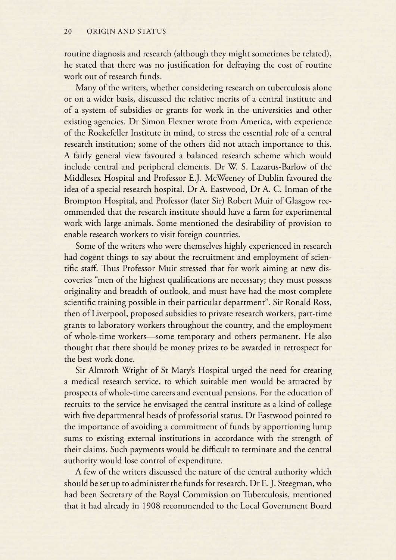routine diagnosis and research (although they might sometimes be related), he stated that there was no justification for defraying the cost of routine work out of research funds.

Many of the writers, whether considering research on tuberculosis alone or on a wider basis, discussed the relative merits of a central institute and of a system of subsidies or grants for work in the universities and other existing agencies. Dr Simon Flexner wrote from America, with experience of the Rockefeller Institute in mind, to stress the essential role of a central research institution; some of the others did not attach importance to this. A fairly general view favoured a balanced research scheme which would include central and peripheral elements. Dr W. S. Lazarus-Barlow of the Middlesex Hospital and Professor E.J. McWeeney of Dublin favoured the idea of a special research hospital. Dr A. Eastwood, Dr A. C. Inman of the Brompton Hospital, and Professor (later Sir) Robert Muir of Glasgow recommended that the research institute should have a farm for experimental work with large animals. Some mentioned the desirability of provision to enable research workers to visit foreign countries.

Some of the writers who were themselves highly experienced in research had cogent things to say about the recruitment and employment of scientific staff. Thus Professor Muir stressed that for work aiming at new discoveries "men of the highest qualifications are necessary; they must possess originality and breadth of outlook, and must have had the most complete scientific training possible in their particular department". Sir Ronald Ross, then of Liverpool, proposed subsidies to private research workers, part-time grants to laboratory workers throughout the country, and the employment of whole-time workers—some temporary and others permanent. He also thought that there should be money prizes to be awarded in retrospect for the best work done.

Sir Almroth Wright of St Mary's Hospital urged the need for creating a medical research service, to which suitable men would be attracted by prospects of whole-time careers and eventual pensions. For the education of recruits to the service he envisaged the central institute as a kind of college with five departmental heads of professorial status. Dr Eastwood pointed to the importance of avoiding a commitment of funds by apportioning lump sums to existing external institutions in accordance with the strength of their claims. Such payments would be difficult to terminate and the central authority would lose control of expenditure.

A few of the writers discussed the nature of the central authority which should be set up to administer the funds for research. Dr E. J. Steegman, who had been Secretary of the Royal Commission on Tuberculosis, mentioned that it had already in 1908 recommended to the Local Government Board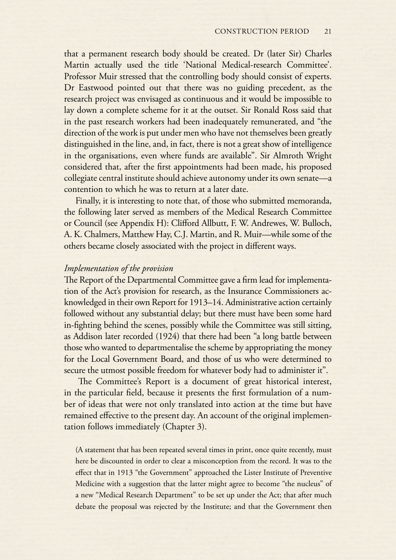that a permanent research body should be created. Dr (later Sir) Charles Martin actually used the title 'National Medical-research Committee'. Professor Muir stressed that the controlling body should consist of experts. Dr Eastwood pointed out that there was no guiding precedent, as the research project was envisaged as continuous and it would be impossible to lay down a complete scheme for it at the outset. Sir Ronald Ross said that in the past research workers had been inadequately remunerated, and "the direction of the work is put under men who have not themselves been greatly distinguished in the line, and, in fact, there is not a great show of intelligence in the organisations, even where funds are available". Sir Almroth Wright considered that, after the first appointments had been made, his proposed collegiate central institute should achieve autonomy under its own senate—a contention to which he was to return at a later date.

Finally, it is interesting to note that, of those who submitted memoranda, the following later served as members of the Medical Research Committee or Council (see Appendix H): Clifford Allbutt, F. W. Andrewes, W. Bulloch, A. K. Chalmers, Matthew Hay, C.J. Martin, and R. Muir—while some of the others became closely associated with the project in different ways.

#### *Implementation of the provision*

The Report of the Departmental Committee gave a firm lead for implementation of the Act's provision for research, as the Insurance Commissioners acknowledged in their own Report for 1913–14. Administrative action certainly followed without any substantial delay; but there must have been some hard in-fighting behind the scenes, possibly while the Committee was still sitting, as Addison later recorded (1924) that there had been "a long battle between those who wanted to departmentalise the scheme by appropriating the money for the Local Government Board, and those of us who were determined to secure the utmost possible freedom for whatever body had to administer it".

The Committee's Report is a document of great historical interest, in the particular field, because it presents the first formulation of a number of ideas that were not only translated into action at the time but have remained effective to the present day. An account of the original implementation follows immediately (Chapter 3).

(A statement that has been repeated several times in print, once quite recently, must here be discounted in order to clear a misconception from the record. It was to the effect that in 1913 "the Government" approached the Lister Institute of Preventive Medicine with a suggestion that the latter might agree to become "the nucleus" of a new "Medical Research Department" to be set up under the Act; that after much debate the proposal was rejected by the Institute; and that the Government then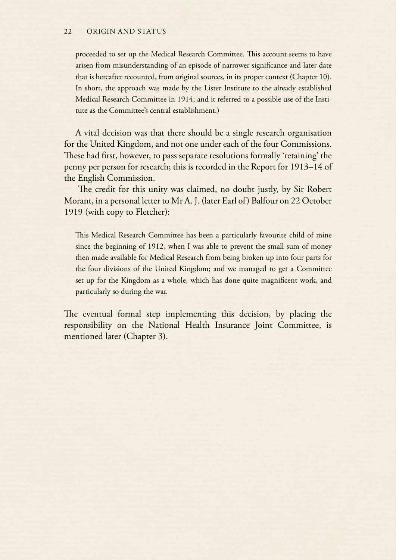proceeded to set up the Medical Research Committee. This account seems to have arisen from misunderstanding of an episode of narrower significance and later date that is hereafter recounted, from original sources, in its proper context (Chapter 10). In short, the approach was made by the Lister Institute to the already established Medical Research Committee in 1914; and it referred to a possible use of the Institute as the Committee's central establishment.)

A vital decision was that there should be a single research organisation for the United Kingdom, and not one under each of the four Commissions. These had first, however, to pass separate resolutions formally 'retaining' the penny per person for research; this is recorded in the Report for 1913–14 of the English Commission.

The credit for this unity was claimed, no doubt justly, by Sir Robert Morant, in a personal letter to Mr A. J. (later Earl of) Balfour on 22 October 1919 (with copy to Fletcher):

This Medical Research Committee has been a particularly favourite child of mine since the beginning of 1912, when I was able to prevent the small sum of money then made available for Medical Research from being broken up into four parts for the four divisions of the United Kingdom; and we managed to get a Committee set up for the Kingdom as a whole, which has done quite magnificent work, and particularly so during the war.

The eventual formal step implementing this decision, by placing the responsibility on the National Health Insurance Joint Committee, is mentioned later (Chapter 3).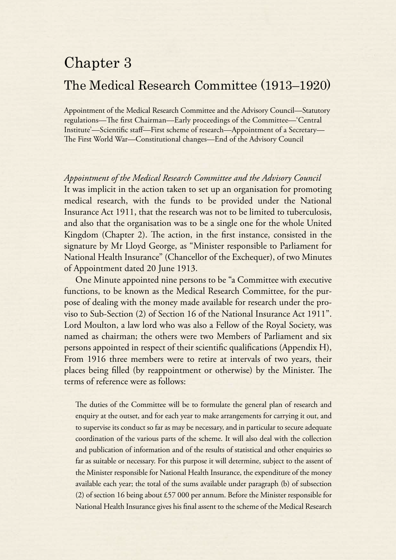# Chapter 3 The Medical Research Committee (1913–1920)

Appointment of the Medical Research Committee and the Advisory Council—Statutory regulations—The first Chairman—Early proceedings of the Committee—'Central Institute'—Scientific staff—First scheme of research—Appointment of a Secretary— The First World War—Constitutional changes—End of the Advisory Council

*Appointment of the Medical Research Committee and the Advisory Council*  It was implicit in the action taken to set up an organisation for promoting medical research, with the funds to be provided under the National Insurance Act 1911, that the research was not to be limited to tuberculosis, and also that the organisation was to be a single one for the whole United Kingdom (Chapter 2). The action, in the first instance, consisted in the signature by Mr Lloyd George, as "Minister responsible to Parliament for National Health Insurance" (Chancellor of the Exchequer), of two Minutes of Appointment dated 20 June 1913.

One Minute appointed nine persons to be "a Committee with executive functions, to be known as the Medical Research Committee, for the purpose of dealing with the money made available for research under the proviso to Sub-Section (2) of Section 16 of the National Insurance Act 1911". Lord Moulton, a law lord who was also a Fellow of the Royal Society, was named as chairman; the others were two Members of Parliament and six persons appointed in respect of their scientific qualifications (Appendix H), From 1916 three members were to retire at intervals of two years, their places being filled (by reappointment or otherwise) by the Minister. The terms of reference were as follows:

The duties of the Committee will be to formulate the general plan of research and enquiry at the outset, and for each year to make arrangements for carrying it out, and to supervise its conduct so far as may be necessary, and in particular to secure adequate coordination of the various parts of the scheme. It will also deal with the collection and publication of information and of the results of statistical and other enquiries so far as suitable or necessary. For this purpose it will determine, subject to the assent of the Minister responsible for National Health Insurance, the expenditure of the money available each year; the total of the sums available under paragraph (b) of subsection (2) of section 16 being about £57 000 per annum. Before the Minister responsible for National Health Insurance gives his final assent to the scheme of the Medical Research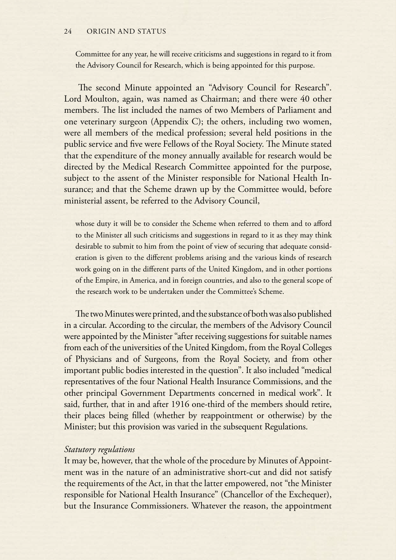#### 24 ORIGIN AND STATUS

Committee for any year, he will receive criticisms and suggestions in regard to it from the Advisory Council for Research, which is being appointed for this purpose.

The second Minute appointed an "Advisory Council for Research". Lord Moulton, again, was named as Chairman; and there were 40 other members. The list included the names of two Members of Parliament and one veterinary surgeon (Appendix C); the others, including two women, were all members of the medical profession; several held positions in the public service and five were Fellows of the Royal Society. The Minute stated that the expenditure of the money annually available for research would be directed by the Medical Research Committee appointed for the purpose, subject to the assent of the Minister responsible for National Health Insurance; and that the Scheme drawn up by the Committee would, before ministerial assent, be referred to the Advisory Council,

whose duty it will be to consider the Scheme when referred to them and to afford to the Minister all such criticisms and suggestions in regard to it as they may think desirable to submit to him from the point of view of securing that adequate consideration is given to the different problems arising and the various kinds of research work going on in the different parts of the United Kingdom, and in other portions of the Empire, in America, and in foreign countries, and also to the general scope of the research work to be undertaken under the Committee's Scheme.

The two Minutes were printed, and the substance of both was also published in a circular. According to the circular, the members of the Advisory Council were appointed by the Minister "after receiving suggestions for suitable names from each of the universities of the United Kingdom, from the Royal Colleges of Physicians and of Surgeons, from the Royal Society, and from other important public bodies interested in the question". It also included "medical representatives of the four National Health Insurance Commissions, and the other principal Government Departments concerned in medical work". It said, further, that in and after 1916 one-third of the members should retire, their places being filled (whether by reappointment or otherwise) by the Minister; but this provision was varied in the subsequent Regulations.

#### *Statutory regulations*

It may be, however, that the whole of the procedure by Minutes of Appointment was in the nature of an administrative short-cut and did not satisfy the requirements of the Act, in that the latter empowered, not "the Minister responsible for National Health Insurance" (Chancellor of the Exchequer), but the Insurance Commissioners. Whatever the reason, the appointment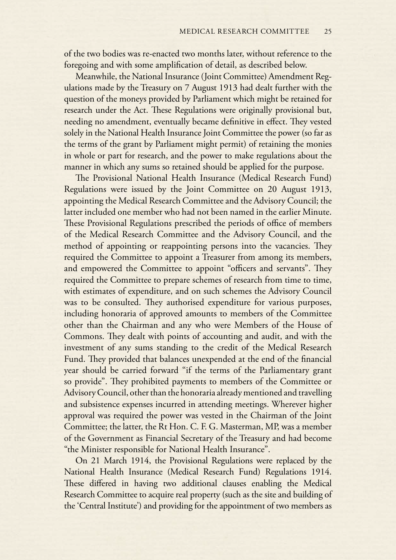of the two bodies was re-enacted two months later, without reference to the foregoing and with some amplification of detail, as described below.

Meanwhile, the National Insurance (Joint Committee) Amendment Regulations made by the Treasury on 7 August 1913 had dealt further with the question of the moneys provided by Parliament which might be retained for research under the Act. These Regulations were originally provisional but, needing no amendment, eventually became definitive in effect. They vested solely in the National Health Insurance Joint Committee the power (so far as the terms of the grant by Parliament might permit) of retaining the monies in whole or part for research, and the power to make regulations about the manner in which any sums so retained should be applied for the purpose.

The Provisional National Health Insurance (Medical Research Fund) Regulations were issued by the Joint Committee on 20 August 1913, appointing the Medical Research Committee and the Advisory Council; the latter included one member who had not been named in the earlier Minute. These Provisional Regulations prescribed the periods of office of members of the Medical Research Committee and the Advisory Council, and the method of appointing or reappointing persons into the vacancies. They required the Committee to appoint a Treasurer from among its members, and empowered the Committee to appoint "officers and servants". They required the Committee to prepare schemes of research from time to time, with estimates of expenditure, and on such schemes the Advisory Council was to be consulted. They authorised expenditure for various purposes, including honoraria of approved amounts to members of the Committee other than the Chairman and any who were Members of the House of Commons. They dealt with points of accounting and audit, and with the investment of any sums standing to the credit of the Medical Research Fund. They provided that balances unexpended at the end of the financial year should be carried forward "if the terms of the Parliamentary grant so provide". They prohibited payments to members of the Committee or Advisory Council, other than the honoraria already mentioned and travelling and subsistence expenses incurred in attending meetings. Wherever higher approval was required the power was vested in the Chairman of the Joint Committee; the latter, the Rt Hon. C. F. G. Masterman, MP, was a member of the Government as Financial Secretary of the Treasury and had become "the Minister responsible for National Health Insurance".

On 21 March 1914, the Provisional Regulations were replaced by the National Health Insurance (Medical Research Fund) Regulations 1914. These differed in having two additional clauses enabling the Medical Research Committee to acquire real property (such as the site and building of the 'Central Institute') and providing for the appointment of two members as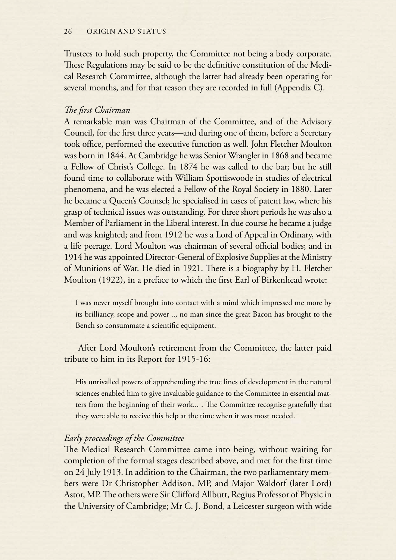Trustees to hold such property, the Committee not being a body corporate. These Regulations may be said to be the definitive constitution of the Medical Research Committee, although the latter had already been operating for several months, and for that reason they are recorded in full (Appendix C).

#### *The first Chairman*

A remarkable man was Chairman of the Committee, and of the Advisory Council, for the first three years—and during one of them, before a Secretary took office, performed the executive function as well. John Fletcher Moulton was born in 1844. At Cambridge he was Senior Wrangler in 1868 and became a Fellow of Christ's College. In 1874 he was called to the bar; but he still found time to collaborate with William Spottiswoode in studies of electrical phenomena, and he was elected a Fellow of the Royal Society in 1880. Later he became a Queen's Counsel; he specialised in cases of patent law, where his grasp of technical issues was outstanding. For three short periods he was also a Member of Parliament in the Liberal interest. In due course he became a judge and was knighted; and from 1912 he was a Lord of Appeal in Ordinary, with a life peerage. Lord Moulton was chairman of several official bodies; and in 1914 he was appointed Director-General of Explosive Supplies at the Ministry of Munitions of War. He died in 1921. There is a biography by H. Fletcher Moulton (1922), in a preface to which the first Earl of Birkenhead wrote:

I was never myself brought into contact with a mind which impressed me more by its brilliancy, scope and power .., no man since the great Bacon has brought to the Bench so consummate a scientific equipment.

## After Lord Moulton's retirement from the Committee, the latter paid tribute to him in its Report for 1915-16:

His unrivalled powers of apprehending the true lines of development in the natural sciences enabled him to give invaluable guidance to the Committee in essential matters from the beginning of their work... . The Committee recognise gratefully that they were able to receive this help at the time when it was most needed.

#### *Early proceedings of the Committee*

The Medical Research Committee came into being, without waiting for completion of the formal stages described above, and met for the first time on 24 July 1913. In addition to the Chairman, the two parliamentary members were Dr Christopher Addison, MP, and Major Waldorf (later Lord) Astor, MP. The others were Sir Clifford Allbutt, Regius Professor of Physic in the University of Cambridge; Mr C. J. Bond, a Leicester surgeon with wide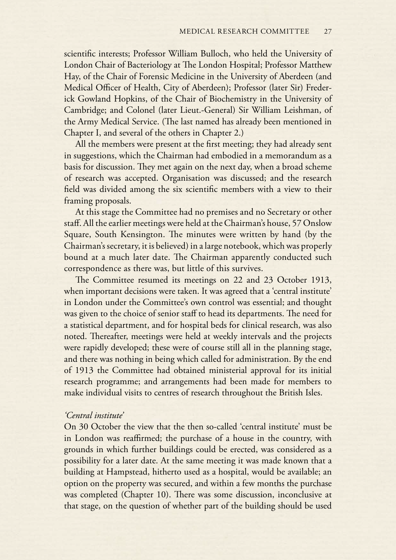scientific interests; Professor William Bulloch, who held the University of London Chair of Bacteriology at The London Hospital; Professor Matthew Hay, of the Chair of Forensic Medicine in the University of Aberdeen (and Medical Officer of Health, City of Aberdeen); Professor (later Sir) Frederick Gowland Hopkins, of the Chair of Biochemistry in the University of Cambridge; and Colonel (later Lieut.-General) Sir William Leishman, of the Army Medical Service. (The last named has already been mentioned in Chapter I, and several of the others in Chapter 2.)

All the members were present at the first meeting; they had already sent in suggestions, which the Chairman had embodied in a memorandum as a basis for discussion. They met again on the next day, when a broad scheme of research was accepted. Organisation was discussed; and the research field was divided among the six scientific members with a view to their framing proposals.

At this stage the Committee had no premises and no Secretary or other staff. All the earlier meetings were held at the Chairman's house, 57 Onslow Square, South Kensington. The minutes were written by hand (by the Chairman's secretary, it is believed) in a large notebook, which was properly bound at a much later date. The Chairman apparently conducted such correspondence as there was, but little of this survives.

The Committee resumed its meetings on 22 and 23 October 1913, when important decisions were taken. It was agreed that a 'central institute' in London under the Committee's own control was essential; and thought was given to the choice of senior staff to head its departments. The need for a statistical department, and for hospital beds for clinical research, was also noted. Thereafter, meetings were held at weekly intervals and the projects were rapidly developed; these were of course still all in the planning stage, and there was nothing in being which called for administration. By the end of 1913 the Committee had obtained ministerial approval for its initial research programme; and arrangements had been made for members to make individual visits to centres of research throughout the British Isles.

#### *'Central institute'*

On 30 October the view that the then so-called 'central institute' must be in London was reaffirmed; the purchase of a house in the country, with grounds in which further buildings could be erected, was considered as a possibility for a later date. At the same meeting it was made known that a building at Hampstead, hitherto used as a hospital, would be available; an option on the property was secured, and within a few months the purchase was completed (Chapter 10). There was some discussion, inconclusive at that stage, on the question of whether part of the building should be used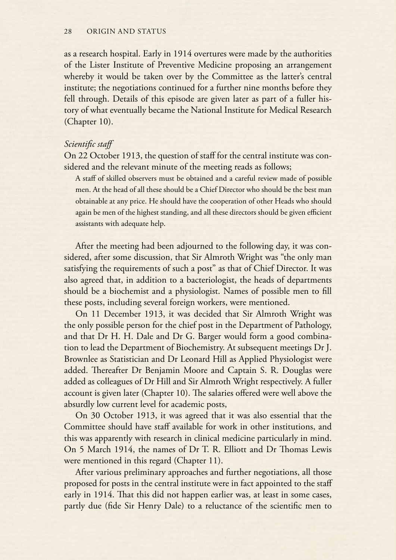as a research hospital. Early in 1914 overtures were made by the authorities of the Lister Institute of Preventive Medicine proposing an arrangement whereby it would be taken over by the Committee as the latter's central institute; the negotiations continued for a further nine months before they fell through. Details of this episode are given later as part of a fuller history of what eventually became the National Institute for Medical Research (Chapter 10).

#### *Scientific staff*

On 22 October 1913, the question of staff for the central institute was considered and the relevant minute of the meeting reads as follows;

A staff of skilled observers must be obtained and a careful review made of possible men. At the head of all these should be a Chief Director who should be the best man obtainable at any price. He should have the cooperation of other Heads who should again be men of the highest standing, and all these directors should be given efficient assistants with adequate help.

After the meeting had been adjourned to the following day, it was considered, after some discussion, that Sir Almroth Wright was "the only man satisfying the requirements of such a post" as that of Chief Director. It was also agreed that, in addition to a bacteriologist, the heads of departments should be a biochemist and a physiologist. Names of possible men to fill these posts, including several foreign workers, were mentioned.

On 11 December 1913, it was decided that Sir Almroth Wright was the only possible person for the chief post in the Department of Pathology, and that Dr H. H. Dale and Dr G. Barger would form a good combination to lead the Department of Biochemistry. At subsequent meetings Dr J. Brownlee as Statistician and Dr Leonard Hill as Applied Physiologist were added. Thereafter Dr Benjamin Moore and Captain S. R. Douglas were added as colleagues of Dr Hill and Sir Almroth Wright respectively. A fuller account is given later (Chapter 10). The salaries offered were well above the absurdly low current level for academic posts,

On 30 October 1913, it was agreed that it was also essential that the Committee should have staff available for work in other institutions, and this was apparently with research in clinical medicine particularly in mind. On 5 March 1914, the names of Dr T. R. Elliott and Dr Thomas Lewis were mentioned in this regard (Chapter 11).

After various preliminary approaches and further negotiations, all those proposed for posts in the central institute were in fact appointed to the staff early in 1914. That this did not happen earlier was, at least in some cases, partly due (fide Sir Henry Dale) to a reluctance of the scientific men to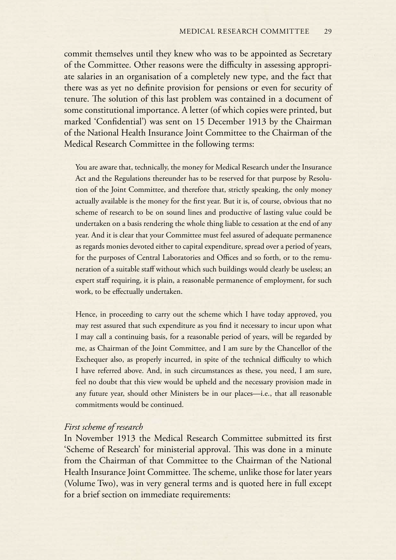commit themselves until they knew who was to be appointed as Secretary of the Committee. Other reasons were the difficulty in assessing appropriate salaries in an organisation of a completely new type, and the fact that there was as yet no definite provision for pensions or even for security of tenure. The solution of this last problem was contained in a document of some constitutional importance. A letter (of which copies were printed, but marked 'Confidential') was sent on 15 December 1913 by the Chairman of the National Health Insurance Joint Committee to the Chairman of the Medical Research Committee in the following terms:

You are aware that, technically, the money for Medical Research under the Insurance Act and the Regulations thereunder has to be reserved for that purpose by Resolution of the Joint Committee, and therefore that, strictly speaking, the only money actually available is the money for the first year. But it is, of course, obvious that no scheme of research to be on sound lines and productive of lasting value could be undertaken on a basis rendering the whole thing liable to cessation at the end of any year. And it is clear that your Committee must feel assured of adequate permanence as regards monies devoted either to capital expenditure, spread over a period of years, for the purposes of Central Laboratories and Offices and so forth, or to the remuneration of a suitable staff without which such buildings would clearly be useless; an expert staff requiring, it is plain, a reasonable permanence of employment, for such work, to be effectually undertaken.

Hence, in proceeding to carry out the scheme which I have today approved, you may rest assured that such expenditure as you find it necessary to incur upon what I may call a continuing basis, for a reasonable period of years, will be regarded by me, as Chairman of the Joint Committee, and I am sure by the Chancellor of the Exchequer also, as properly incurred, in spite of the technical difficulty to which I have referred above. And, in such circumstances as these, you need, I am sure, feel no doubt that this view would be upheld and the necessary provision made in any future year, should other Ministers be in our places—i.e., that all reasonable commitments would be continued.

#### *First scheme of research*

In November 1913 the Medical Research Committee submitted its first 'Scheme of Research' for ministerial approval. This was done in a minute from the Chairman of that Committee to the Chairman of the National Health Insurance Joint Committee. The scheme, unlike those for later years (Volume Two), was in very general terms and is quoted here in full except for a brief section on immediate requirements: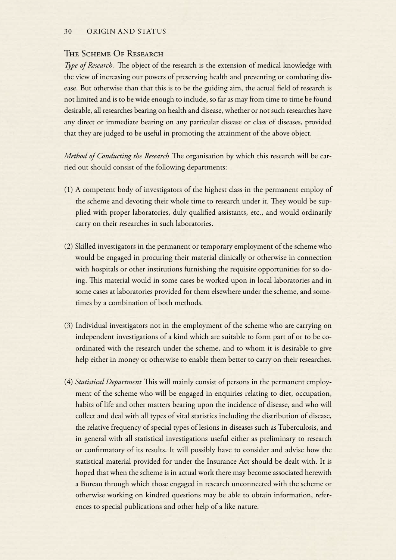#### 30 ORIGIN AND STATUS

#### THE SCHEME OF RESEARCH

*Type of Research.* The object of the research is the extension of medical knowledge with the view of increasing our powers of preserving health and preventing or combating disease. But otherwise than that this is to be the guiding aim, the actual field of research is not limited and is to be wide enough to include, so far as may from time to time be found desirable, all researches bearing on health and disease, whether or not such researches have any direct or immediate bearing on any particular disease or class of diseases, provided that they are judged to be useful in promoting the attainment of the above object.

*Method of Conducting the Research* The organisation by which this research will be carried out should consist of the following departments:

- (1) A competent body of investigators of the highest class in the permanent employ of the scheme and devoting their whole time to research under it. They would be supplied with proper laboratories, duly qualified assistants, etc., and would ordinarily carry on their researches in such laboratories.
- (2) Skilled investigators in the permanent or temporary employment of the scheme who would be engaged in procuring their material clinically or otherwise in connection with hospitals or other institutions furnishing the requisite opportunities for so doing. This material would in some cases be worked upon in local laboratories and in some cases at laboratories provided for them elsewhere under the scheme, and sometimes by a combination of both methods.
- (3) Individual investigators not in the employment of the scheme who are carrying on independent investigations of a kind which are suitable to form part of or to be coordinated with the research under the scheme, and to whom it is desirable to give help either in money or otherwise to enable them better to carry on their researches.
- (4) *Statistical Department* This will mainly consist of persons in the permanent employment of the scheme who will be engaged in enquiries relating to diet, occupation, habits of life and other matters bearing upon the incidence of disease, and who will collect and deal with all types of vital statistics including the distribution of disease, the relative frequency of special types of lesions in diseases such as Tuberculosis, and in general with all statistical investigations useful either as preliminary to research or confirmatory of its results. It will possibly have to consider and advise how the statistical material provided for under the Insurance Act should be dealt with. It is hoped that when the scheme is in actual work there may become associated herewith a Bureau through which those engaged in research unconnected with the scheme or otherwise working on kindred questions may be able to obtain information, references to special publications and other help of a like nature.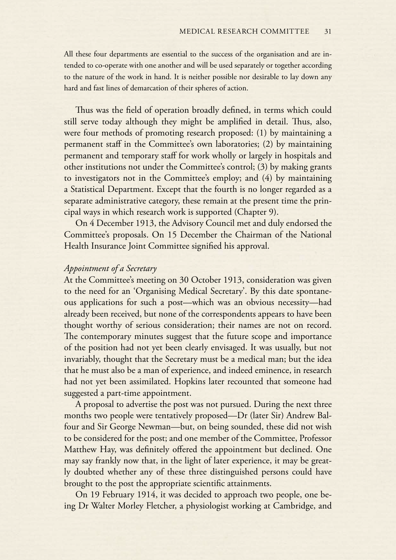All these four departments are essential to the success of the organisation and are intended to co-operate with one another and will be used separately or together according to the nature of the work in hand. It is neither possible nor desirable to lay down any hard and fast lines of demarcation of their spheres of action.

Thus was the field of operation broadly defined, in terms which could still serve today although they might be amplified in detail. Thus, also, were four methods of promoting research proposed: (1) by maintaining a permanent staff in the Committee's own laboratories; (2) by maintaining permanent and temporary staff for work wholly or largely in hospitals and other institutions not under the Committee's control; (3) by making grants to investigators not in the Committee's employ; and (4) by maintaining a Statistical Department. Except that the fourth is no longer regarded as a separate administrative category, these remain at the present time the principal ways in which research work is supported (Chapter 9).

On 4 December 1913, the Advisory Council met and duly endorsed the Committee's proposals. On 15 December the Chairman of the National Health Insurance Joint Committee signified his approval.

### *Appointment of a Secretary*

At the Committee's meeting on 30 October 1913, consideration was given to the need for an 'Organising Medical Secretary'. By this date spontaneous applications for such a post—which was an obvious necessity—had already been received, but none of the correspondents appears to have been thought worthy of serious consideration; their names are not on record. The contemporary minutes suggest that the future scope and importance of the position had not yet been clearly envisaged. It was usually, but not invariably, thought that the Secretary must be a medical man; but the idea that he must also be a man of experience, and indeed eminence, in research had not yet been assimilated. Hopkins later recounted that someone had suggested a part-time appointment.

A proposal to advertise the post was not pursued. During the next three months two people were tentatively proposed—Dr (later Sir) Andrew Balfour and Sir George Newman—but, on being sounded, these did not wish to be considered for the post; and one member of the Committee, Professor Matthew Hay, was definitely offered the appointment but declined. One may say frankly now that, in the light of later experience, it may be greatly doubted whether any of these three distinguished persons could have brought to the post the appropriate scientific attainments.

On 19 February 1914, it was decided to approach two people, one being Dr Walter Morley Fletcher, a physiologist working at Cambridge, and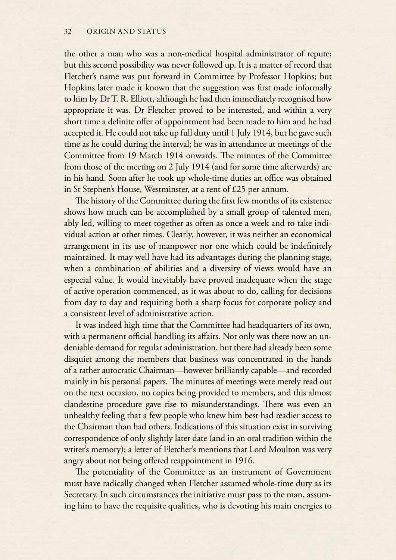the other a man who was a non-medical hospital administrator of repute; but this second possibility was never followed up. It is a matter of record that Fletcher's name was put forward in Committee by Professor Hopkins; but Hopkins later made it known that the suggestion was first made informally to him by Dr T. R. Elliott, although he had then immediately recognised how appropriate it was. Dr Fletcher proved to be interested, and within a very short time a definite offer of appointment had been made to him and he had accepted it. He could not take up full duty until 1 July 1914, but he gave such time as he could during the interval; he was in attendance at meetings of the Committee from 19 March 1914 onwards. The minutes of the Committee from those of the meeting on 2 July 1914 (and for some time afterwards) are in his hand. Soon after he took up whole-time duties an office was obtained in St Stephen's House, Westminster, at a rent of £25 per annum.

The history of the Committee during the first few months of its existence shows how much can be accomplished by a small group of talented men, ably led, willing to meet together as often as once a week and to take individual action at other times. Clearly, however, it was neither an economical arrangement in its use of manpower nor one which could be indefinitely maintained. It may well have had its advantages during the planning stage, when a combination of abilities and a diversity of views would have an especial value. It would inevitably have proved inadequate when the stage of active operation commenced, as it was about to do, calling for decisions from day to day and requiring both a sharp focus for corporate policy and a consistent level of administrative action.

It was indeed high time that the Committee had headquarters of its own, with a permanent official handling its affairs. Not only was there now an undeniable demand for regular administration, but there had already been some disquiet among the members that business was concentrated in the hands of a rather autocratic Chairman—however brilliantly capable—and recorded mainly in his personal papers. The minutes of meetings were merely read out on the next occasion, no copies being provided to members, and this almost clandestine procedure gave rise to misunderstandings. There was even an unhealthy feeling that a few people who knew him best had readier access to the Chairman than had others. Indications of this situation exist in surviving correspondence of only slightly later date (and in an oral tradition within the writer's memory); a letter of Fletcher's mentions that Lord Moulton was very angry about not being offered reappointment in 1916.

The potentiality of the Committee as an instrument of Government must have radically changed when Fletcher assumed whole-time duty as its Secretary. In such circumstances the initiative must pass to the man, assuming him to have the requisite qualities, who is devoting his main energies to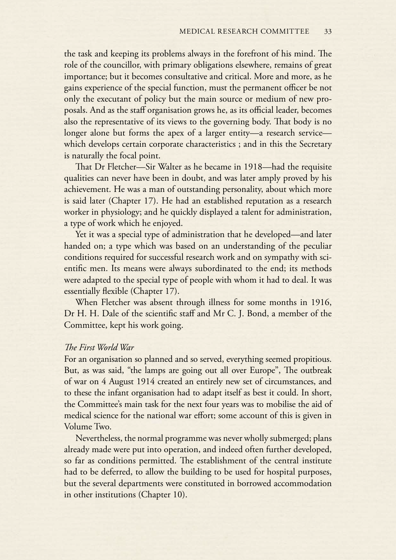the task and keeping its problems always in the forefront of his mind. The role of the councillor, with primary obligations elsewhere, remains of great importance; but it becomes consultative and critical. More and more, as he gains experience of the special function, must the permanent officer be not only the executant of policy but the main source or medium of new proposals. And as the staff organisation grows he, as its official leader, becomes also the representative of its views to the governing body. That body is no longer alone but forms the apex of a larger entity—a research service which develops certain corporate characteristics ; and in this the Secretary is naturally the focal point.

That Dr Fletcher—Sir Walter as he became in 1918—had the requisite qualities can never have been in doubt, and was later amply proved by his achievement. He was a man of outstanding personality, about which more is said later (Chapter 17). He had an established reputation as a research worker in physiology; and he quickly displayed a talent for administration, a type of work which he enjoyed.

Yet it was a special type of administration that he developed—and later handed on; a type which was based on an understanding of the peculiar conditions required for successful research work and on sympathy with scientific men. Its means were always subordinated to the end; its methods were adapted to the special type of people with whom it had to deal. It was essentially flexible (Chapter 17).

When Fletcher was absent through illness for some months in 1916, Dr H. H. Dale of the scientific staff and Mr C. J. Bond, a member of the Committee, kept his work going.

#### *The First World War*

For an organisation so planned and so served, everything seemed propitious. But, as was said, "the lamps are going out all over Europe", The outbreak of war on 4 August 1914 created an entirely new set of circumstances, and to these the infant organisation had to adapt itself as best it could. In short, the Committee's main task for the next four years was to mobilise the aid of medical science for the national war effort; some account of this is given in Volume Two.

Nevertheless, the normal programme was never wholly submerged; plans already made were put into operation, and indeed often further developed, so far as conditions permitted. The establishment of the central institute had to be deferred, to allow the building to be used for hospital purposes, but the several departments were constituted in borrowed accommodation in other institutions (Chapter 10).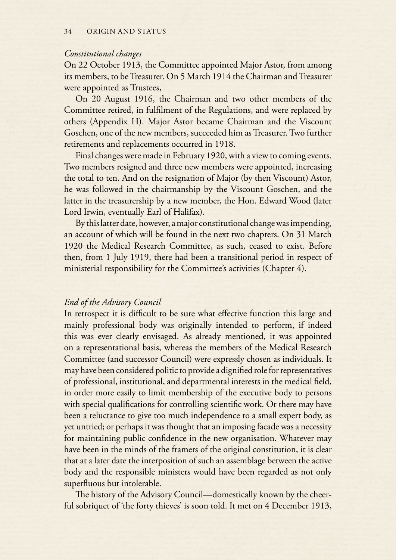#### 34 ORIGIN AND STATUS

#### *Constitutional changes*

On 22 October 1913, the Committee appointed Major Astor, from among its members, to be Treasurer. On 5 March 1914 the Chairman and Treasurer were appointed as Trustees,

On 20 August 1916, the Chairman and two other members of the Committee retired, in fulfilment of the Regulations, and were replaced by others (Appendix H). Major Astor became Chairman and the Viscount Goschen, one of the new members, succeeded him as Treasurer. Two further retirements and replacements occurred in 1918.

Final changes were made in February 1920, with a view to coming events. Two members resigned and three new members were appointed, increasing the total to ten. And on the resignation of Major (by then Viscount) Astor, he was followed in the chairmanship by the Viscount Goschen, and the latter in the treasurership by a new member, the Hon. Edward Wood (later Lord Irwin, eventually Earl of Halifax).

By this latter date, however, a major constitutional change was impending, an account of which will be found in the next two chapters. On 31 March 1920 the Medical Research Committee, as such, ceased to exist. Before then, from 1 July 1919, there had been a transitional period in respect of ministerial responsibility for the Committee's activities (Chapter 4).

#### *End of the Advisory Council*

In retrospect it is difficult to be sure what effective function this large and mainly professional body was originally intended to perform, if indeed this was ever clearly envisaged. As already mentioned, it was appointed on a representational basis, whereas the members of the Medical Research Committee (and successor Council) were expressly chosen as individuals. It may have been considered politic to provide a dignified role for representatives of professional, institutional, and departmental interests in the medical field, in order more easily to limit membership of the executive body to persons with special qualifications for controlling scientific work. Or there may have been a reluctance to give too much independence to a small expert body, as yet untried; or perhaps it was thought that an imposing facade was a necessity for maintaining public confidence in the new organisation. Whatever may have been in the minds of the framers of the original constitution, it is clear that at a later date the interposition of such an assemblage between the active body and the responsible ministers would have been regarded as not only superfluous but intolerable.

The history of the Advisory Council—domestically known by the cheerful sobriquet of 'the forty thieves' is soon told. It met on 4 December 1913,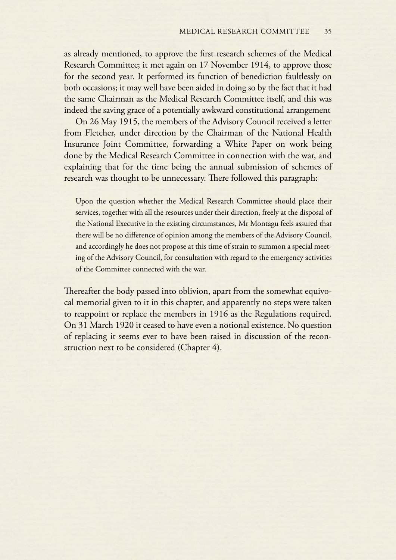as already mentioned, to approve the first research schemes of the Medical Research Committee; it met again on 17 November 1914, to approve those for the second year. It performed its function of benediction faultlessly on both occasions; it may well have been aided in doing so by the fact that it had the same Chairman as the Medical Research Committee itself, and this was indeed the saving grace of a potentially awkward constitutional arrangement

On 26 May 1915, the members of the Advisory Council received a letter from Fletcher, under direction by the Chairman of the National Health Insurance Joint Committee, forwarding a White Paper on work being done by the Medical Research Committee in connection with the war, and explaining that for the time being the annual submission of schemes of research was thought to be unnecessary. There followed this paragraph:

Upon the question whether the Medical Research Committee should place their services, together with all the resources under their direction, freely at the disposal of the National Executive in the existing circumstances, Mr Montagu feels assured that there will be no difference of opinion among the members of the Advisory Council, and accordingly he does not propose at this time of strain to summon a special meeting of the Advisory Council, for consultation with regard to the emergency activities of the Committee connected with the war.

Thereafter the body passed into oblivion, apart from the somewhat equivocal memorial given to it in this chapter, and apparently no steps were taken to reappoint or replace the members in 1916 as the Regulations required. On 31 March 1920 it ceased to have even a notional existence. No question of replacing it seems ever to have been raised in discussion of the reconstruction next to be considered (Chapter 4).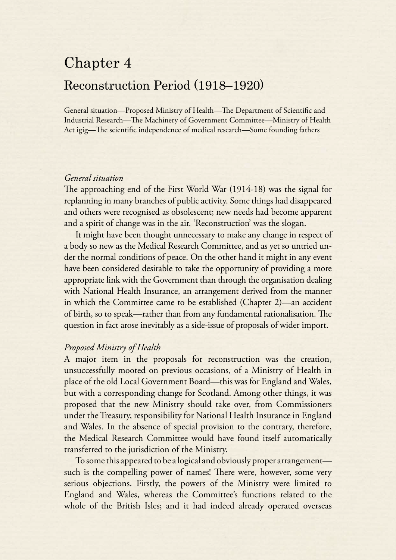# Chapter 4 Reconstruction Period (1918–1920)

General situation—Proposed Ministry of Health—The Department of Scientific and Industrial Research—The Machinery of Government Committee—Ministry of Health Act igig—The scientific independence of medical research—Some founding fathers

#### *General situation*

The approaching end of the First World War (1914-18) was the signal for replanning in many branches of public activity. Some things had disappeared and others were recognised as obsolescent; new needs had become apparent and a spirit of change was in the air. 'Reconstruction' was the slogan.

It might have been thought unnecessary to make any change in respect of a body so new as the Medical Research Committee, and as yet so untried under the normal conditions of peace. On the other hand it might in any event have been considered desirable to take the opportunity of providing a more appropriate link with the Government than through the organisation dealing with National Health Insurance, an arrangement derived from the manner in which the Committee came to be established (Chapter 2)—an accident of birth, so to speak—rather than from any fundamental rationalisation. The question in fact arose inevitably as a side-issue of proposals of wider import.

#### *Proposed Ministry of Health*

A major item in the proposals for reconstruction was the creation, unsuccessfully mooted on previous occasions, of a Ministry of Health in place of the old Local Government Board—this was for England and Wales, but with a corresponding change for Scotland. Among other things, it was proposed that the new Ministry should take over, from Commissioners under the Treasury, responsibility for National Health Insurance in England and Wales. In the absence of special provision to the contrary, therefore, the Medical Research Committee would have found itself automatically transferred to the jurisdiction of the Ministry.

To some this appeared to be a logical and obviously proper arrangement such is the compelling power of names! There were, however, some very serious objections. Firstly, the powers of the Ministry were limited to England and Wales, whereas the Committee's functions related to the whole of the British Isles; and it had indeed already operated overseas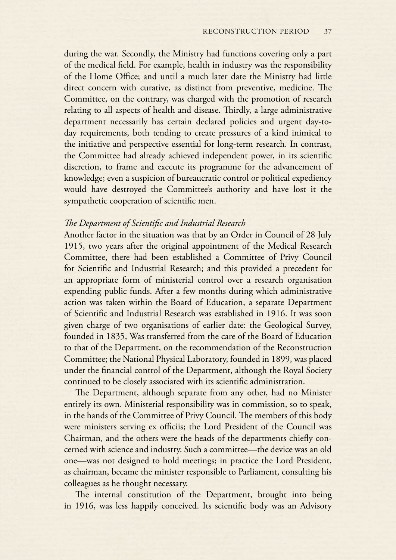during the war. Secondly, the Ministry had functions covering only a part of the medical field. For example, health in industry was the responsibility of the Home Office; and until a much later date the Ministry had little direct concern with curative, as distinct from preventive, medicine. The Committee, on the contrary, was charged with the promotion of research relating to all aspects of health and disease. Thirdly, a large administrative department necessarily has certain declared policies and urgent day-today requirements, both tending to create pressures of a kind inimical to the initiative and perspective essential for long-term research. In contrast, the Committee had already achieved independent power, in its scientific discretion, to frame and execute its programme for the advancement of knowledge; even a suspicion of bureaucratic control or political expediency would have destroyed the Committee's authority and have lost it the sympathetic cooperation of scientific men.

### *The Department of Scientific and Industrial Research*

Another factor in the situation was that by an Order in Council of 28 July 1915, two years after the original appointment of the Medical Research Committee, there had been established a Committee of Privy Council for Scientific and Industrial Research; and this provided a precedent for an appropriate form of ministerial control over a research organisation expending public funds. After a few months during which administrative action was taken within the Board of Education, a separate Department of Scientific and Industrial Research was established in 1916. It was soon given charge of two organisations of earlier date: the Geological Survey, founded in 1835, Was transferred from the care of the Board of Education to that of the Department, on the recommendation of the Reconstruction Committee; the National Physical Laboratory, founded in 1899, was placed under the financial control of the Department, although the Royal Society continued to be closely associated with its scientific administration.

The Department, although separate from any other, had no Minister entirely its own. Ministerial responsibility was in commission, so to speak, in the hands of the Committee of Privy Council. The members of this body were ministers serving ex officiis; the Lord President of the Council was Chairman, and the others were the heads of the departments chiefly concerned with science and industry. Such a committee—the device was an old one—was not designed to hold meetings; in practice the Lord President, as chairman, became the minister responsible to Parliament, consulting his colleagues as he thought necessary.

The internal constitution of the Department, brought into being in 1916, was less happily conceived. Its scientific body was an Advisory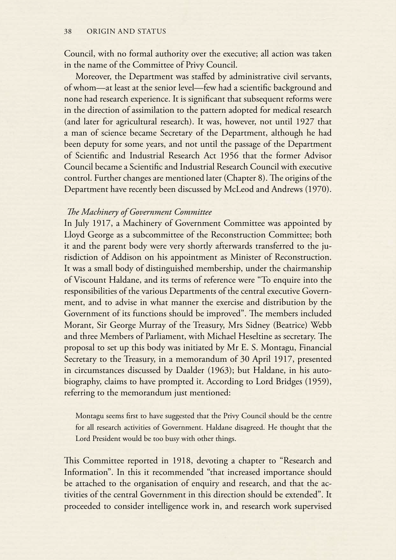Council, with no formal authority over the executive; all action was taken in the name of the Committee of Privy Council.

Moreover, the Department was staffed by administrative civil servants, of whom—at least at the senior level—few had a scientific background and none had research experience. It is significant that subsequent reforms were in the direction of assimilation to the pattern adopted for medical research (and later for agricultural research). It was, however, not until 1927 that a man of science became Secretary of the Department, although he had been deputy for some years, and not until the passage of the Department of Scientific and Industrial Research Act 1956 that the former Advisor Council became a Scientific and Industrial Research Council with executive control. Further changes are mentioned later (Chapter 8). The origins of the Department have recently been discussed by McLeod and Andrews (1970).

#### *The Machinery of Government Committee*

In July 1917, a Machinery of Government Committee was appointed by Lloyd George as a subcommittee of the Reconstruction Committee; both it and the parent body were very shortly afterwards transferred to the jurisdiction of Addison on his appointment as Minister of Reconstruction. It was a small body of distinguished membership, under the chairmanship of Viscount Haldane, and its terms of reference were "To enquire into the responsibilities of the various Departments of the central executive Government, and to advise in what manner the exercise and distribution by the Government of its functions should be improved". The members included Morant, Sir George Murray of the Treasury, Mrs Sidney (Beatrice) Webb and three Members of Parliament, with Michael Heseltine as secretary. The proposal to set up this body was initiated by Mr E. S. Montagu, Financial Secretary to the Treasury, in a memorandum of 30 April 1917, presented in circumstances discussed by Daalder (1963); but Haldane, in his autobiography, claims to have prompted it. According to Lord Bridges (1959), referring to the memorandum just mentioned:

Montagu seems first to have suggested that the Privy Council should be the centre for all research activities of Government. Haldane disagreed. He thought that the Lord President would be too busy with other things.

This Committee reported in 1918, devoting a chapter to "Research and Information". In this it recommended "that increased importance should be attached to the organisation of enquiry and research, and that the activities of the central Government in this direction should be extended". It proceeded to consider intelligence work in, and research work supervised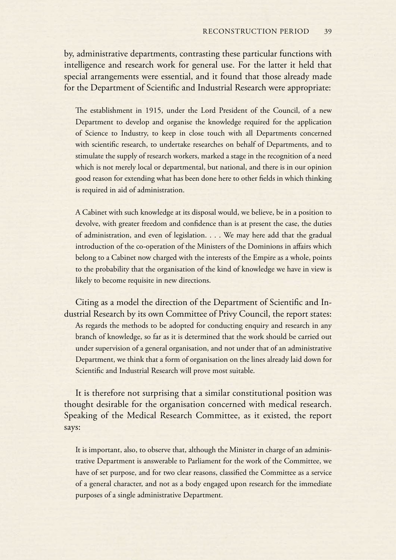by, administrative departments, contrasting these particular functions with intelligence and research work for general use. For the latter it held that special arrangements were essential, and it found that those already made for the Department of Scientific and Industrial Research were appropriate:

The establishment in 1915, under the Lord President of the Council, of a new Department to develop and organise the knowledge required for the application of Science to Industry, to keep in close touch with all Departments concerned with scientific research, to undertake researches on behalf of Departments, and to stimulate the supply of research workers, marked a stage in the recognition of a need which is not merely local or departmental, but national, and there is in our opinion good reason for extending what has been done here to other fields in which thinking is required in aid of administration.

A Cabinet with such knowledge at its disposal would, we believe, be in a position to devolve, with greater freedom and confidence than is at present the case, the duties of administration, and even of legislation. . . . We may here add that the gradual introduction of the co-operation of the Ministers of the Dominions in affairs which belong to a Cabinet now charged with the interests of the Empire as a whole, points to the probability that the organisation of the kind of knowledge we have in view is likely to become requisite in new directions.

Citing as a model the direction of the Department of Scientific and Industrial Research by its own Committee of Privy Council, the report states: As regards the methods to be adopted for conducting enquiry and research in any branch of knowledge, so far as it is determined that the work should be carried out under supervision of a general organisation, and not under that of an administrative Department, we think that a form of organisation on the lines already laid down for Scientific and Industrial Research will prove most suitable.

It is therefore not surprising that a similar constitutional position was thought desirable for the organisation concerned with medical research. Speaking of the Medical Research Committee, as it existed, the report says:

It is important, also, to observe that, although the Minister in charge of an administrative Department is answerable to Parliament for the work of the Committee, we have of set purpose, and for two clear reasons, classified the Committee as a service of a general character, and not as a body engaged upon research for the immediate purposes of a single administrative Department.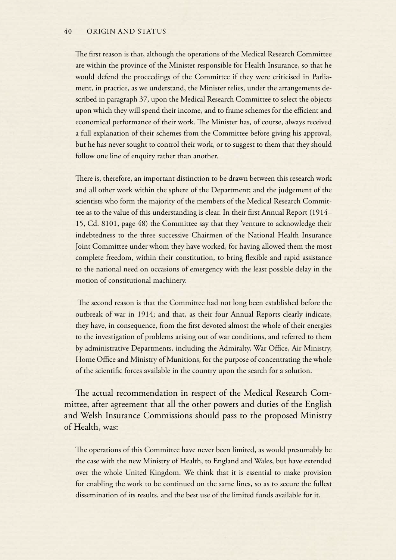#### 40 ORIGIN AND STATUS

The first reason is that, although the operations of the Medical Research Committee are within the province of the Minister responsible for Health Insurance, so that he would defend the proceedings of the Committee if they were criticised in Parliament, in practice, as we understand, the Minister relies, under the arrangements described in paragraph 37, upon the Medical Research Committee to select the objects upon which they will spend their income, and to frame schemes for the efficient and economical performance of their work. The Minister has, of course, always received a full explanation of their schemes from the Committee before giving his approval, but he has never sought to control their work, or to suggest to them that they should follow one line of enquiry rather than another.

There is, therefore, an important distinction to be drawn between this research work and all other work within the sphere of the Department; and the judgement of the scientists who form the majority of the members of the Medical Research Committee as to the value of this understanding is clear. In their first Annual Report (1914– 15, Cd. 8101, page 48) the Committee say that they 'venture to acknowledge their indebtedness to the three successive Chairmen of the National Health Insurance Joint Committee under whom they have worked, for having allowed them the most complete freedom, within their constitution, to bring flexible and rapid assistance to the national need on occasions of emergency with the least possible delay in the motion of constitutional machinery.

 The second reason is that the Committee had not long been established before the outbreak of war in 1914; and that, as their four Annual Reports clearly indicate, they have, in consequence, from the first devoted almost the whole of their energies to the investigation of problems arising out of war conditions, and referred to them by administrative Departments, including the Admiralty, War Office, Air Ministry, Home Office and Ministry of Munitions, for the purpose of concentrating the whole of the scientific forces available in the country upon the search for a solution.

The actual recommendation in respect of the Medical Research Committee, after agreement that all the other powers and duties of the English and Welsh Insurance Commissions should pass to the proposed Ministry of Health, was:

The operations of this Committee have never been limited, as would presumably be the case with the new Ministry of Health, to England and Wales, but have extended over the whole United Kingdom. We think that it is essential to make provision for enabling the work to be continued on the same lines, so as to secure the fullest dissemination of its results, and the best use of the limited funds available for it.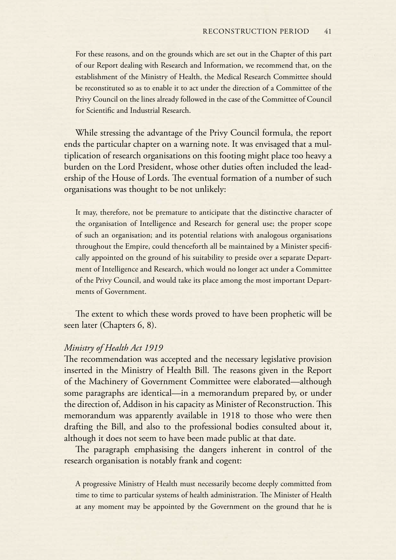For these reasons, and on the grounds which are set out in the Chapter of this part of our Report dealing with Research and Information, we recommend that, on the establishment of the Ministry of Health, the Medical Research Committee should be reconstituted so as to enable it to act under the direction of a Committee of the Privy Council on the lines already followed in the case of the Committee of Council for Scientific and Industrial Research.

While stressing the advantage of the Privy Council formula, the report ends the particular chapter on a warning note. It was envisaged that a multiplication of research organisations on this footing might place too heavy a burden on the Lord President, whose other duties often included the leadership of the House of Lords. The eventual formation of a number of such organisations was thought to be not unlikely:

It may, therefore, not be premature to anticipate that the distinctive character of the organisation of Intelligence and Research for general use; the proper scope of such an organisation; and its potential relations with analogous organisations throughout the Empire, could thenceforth all be maintained by a Minister specifically appointed on the ground of his suitability to preside over a separate Department of Intelligence and Research, which would no longer act under a Committee of the Privy Council, and would take its place among the most important Departments of Government.

The extent to which these words proved to have been prophetic will be seen later (Chapters 6, 8).

#### *Ministry of Health Act 1919*

The recommendation was accepted and the necessary legislative provision inserted in the Ministry of Health Bill. The reasons given in the Report of the Machinery of Government Committee were elaborated—although some paragraphs are identical—in a memorandum prepared by, or under the direction of, Addison in his capacity as Minister of Reconstruction. This memorandum was apparently available in 1918 to those who were then drafting the Bill, and also to the professional bodies consulted about it, although it does not seem to have been made public at that date.

The paragraph emphasising the dangers inherent in control of the research organisation is notably frank and cogent:

A progressive Ministry of Health must necessarily become deeply committed from time to time to particular systems of health administration. The Minister of Health at any moment may be appointed by the Government on the ground that he is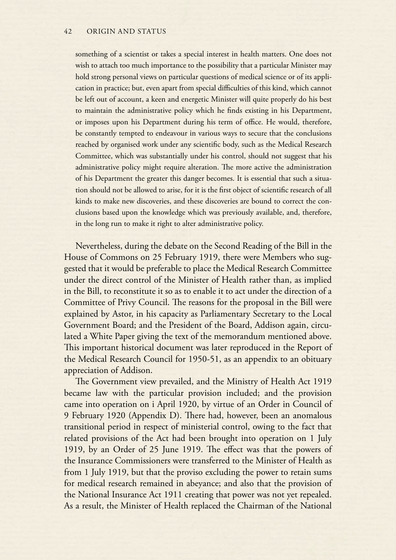something of a scientist or takes a special interest in health matters. One does not wish to attach too much importance to the possibility that a particular Minister may hold strong personal views on particular questions of medical science or of its application in practice; but, even apart from special difficulties of this kind, which cannot be left out of account, a keen and energetic Minister will quite properly do his best to maintain the administrative policy which he finds existing in his Department, or imposes upon his Department during his term of office. He would, therefore, be constantly tempted to endeavour in various ways to secure that the conclusions reached by organised work under any scientific body, such as the Medical Research Committee, which was substantially under his control, should not suggest that his administrative policy might require alteration. The more active the administration of his Department the greater this danger becomes. It is essential that such a situation should not be allowed to arise, for it is the first object of scientific research of all kinds to make new discoveries, and these discoveries are bound to correct the conclusions based upon the knowledge which was previously available, and, therefore, in the long run to make it right to alter administrative policy.

Nevertheless, during the debate on the Second Reading of the Bill in the House of Commons on 25 February 1919, there were Members who suggested that it would be preferable to place the Medical Research Committee under the direct control of the Minister of Health rather than, as implied in the Bill, to reconstitute it so as to enable it to act under the direction of a Committee of Privy Council. The reasons for the proposal in the Bill were explained by Astor, in his capacity as Parliamentary Secretary to the Local Government Board; and the President of the Board, Addison again, circulated a White Paper giving the text of the memorandum mentioned above. This important historical document was later reproduced in the Report of the Medical Research Council for 1950-51, as an appendix to an obituary appreciation of Addison.

The Government view prevailed, and the Ministry of Health Act 1919 became law with the particular provision included; and the provision came into operation on i April 1920, by virtue of an Order in Council of 9 February 1920 (Appendix D). There had, however, been an anomalous transitional period in respect of ministerial control, owing to the fact that related provisions of the Act had been brought into operation on 1 July 1919, by an Order of 25 June 1919. The effect was that the powers of the Insurance Commissioners were transferred to the Minister of Health as from 1 July 1919, but that the proviso excluding the power to retain sums for medical research remained in abeyance; and also that the provision of the National Insurance Act 1911 creating that power was not yet repealed. As a result, the Minister of Health replaced the Chairman of the National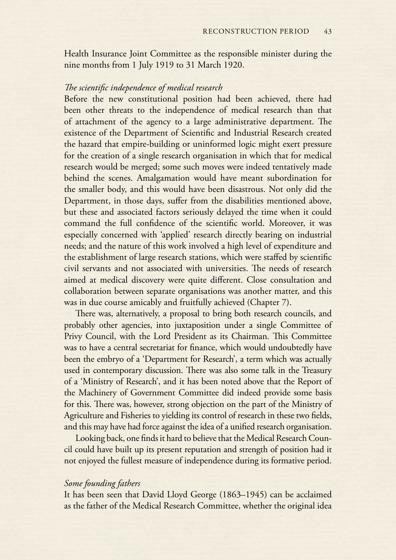Health Insurance Joint Committee as the responsible minister during the nine months from 1 July 1919 to 31 March 1920.

#### *The scientific independence of medical research*

Before the new constitutional position had been achieved, there had been other threats to the independence of medical research than that of attachment of the agency to a large administrative department. The existence of the Department of Scientific and Industrial Research created the hazard that empire-building or uninformed logic might exert pressure for the creation of a single research organisation in which that for medical research would be merged; some such moves were indeed tentatively made behind the scenes. Amalgamation would have meant subordination for the smaller body, and this would have been disastrous. Not only did the Department, in those days, suffer from the disabilities mentioned above, but these and associated factors seriously delayed the time when it could command the full confidence of the scientific world. Moreover, it was especially concerned with 'applied' research directly bearing on industrial needs; and the nature of this work involved a high level of expenditure and the establishment of large research stations, which were staffed by scientific civil servants and not associated with universities. The needs of research aimed at medical discovery were quite different. Close consultation and collaboration between separate organisations was another matter, and this was in due course amicably and fruitfully achieved (Chapter 7).

There was, alternatively, a proposal to bring both research councils, and probably other agencies, into juxtaposition under a single Committee of Privy Council, with the Lord President as its Chairman. This Committee was to have a central secretariat for finance, which would undoubtedly have been the embryo of a 'Department for Research', a term which was actually used in contemporary discussion. There was also some talk in the Treasury of a 'Ministry of Research', and it has been noted above that the Report of the Machinery of Government Committee did indeed provide some basis for this. There was, however, strong objection on the part of the Ministry of Agriculture and Fisheries to yielding its control of research in these two fields, and this may have had force against the idea of a unified research organisation.

Looking back, one finds it hard to believe that the Medical Research Council could have built up its present reputation and strength of position had it not enjoyed the fullest measure of independence during its formative period.

### *Some founding fathers*

It has been seen that David Lloyd George (1863–1945) can be acclaimed as the father of the Medical Research Committee, whether the original idea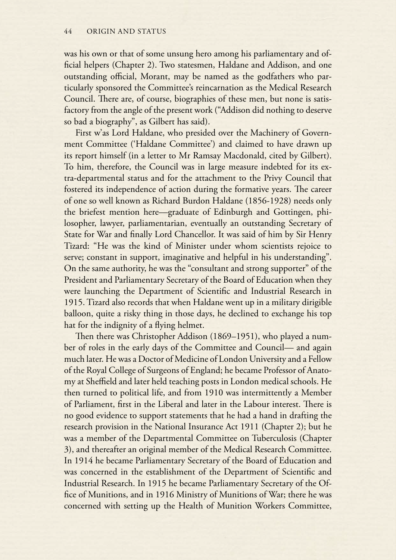was his own or that of some unsung hero among his parliamentary and official helpers (Chapter 2). Two statesmen, Haldane and Addison, and one outstanding official, Morant, may be named as the godfathers who particularly sponsored the Committee's reincarnation as the Medical Research Council. There are, of course, biographies of these men, but none is satisfactory from the angle of the present work ("Addison did nothing to deserve so bad a biography", as Gilbert has said).

First w'as Lord Haldane, who presided over the Machinery of Government Committee ('Haldane Committee') and claimed to have drawn up its report himself (in a letter to Mr Ramsay Macdonald, cited by Gilbert). To him, therefore, the Council was in large measure indebted for its extra-departmental status and for the attachment to the Privy Council that fostered its independence of action during the formative years. The career of one so well known as Richard Burdon Haldane (1856-1928) needs only the briefest mention here—graduate of Edinburgh and Gottingen, philosopher, lawyer, parliamentarian, eventually an outstanding Secretary of State for War and finally Lord Chancellor. It was said of him by Sir Henry Tizard: "He was the kind of Minister under whom scientists rejoice to serve; constant in support, imaginative and helpful in his understanding". On the same authority, he was the "consultant and strong supporter" of the President and Parliamentary Secretary of the Board of Education when they were launching the Department of Scientific and Industrial Research in 1915. Tizard also records that when Haldane went up in a military dirigible balloon, quite a risky thing in those days, he declined to exchange his top hat for the indignity of a flying helmet.

Then there was Christopher Addison (1869–1951), who played a number of roles in the early days of the Committee and Council— and again much later. He was a Doctor of Medicine of London University and a Fellow of the Royal College of Surgeons of England; he became Professor of Anatomy at Sheffield and later held teaching posts in London medical schools. He then turned to political life, and from 1910 was intermittently a Member of Parliament, first in the Liberal and later in the Labour interest. There is no good evidence to support statements that he had a hand in drafting the research provision in the National Insurance Act 1911 (Chapter 2); but he was a member of the Departmental Committee on Tuberculosis (Chapter 3), and thereafter an original member of the Medical Research Committee. In 1914 he became Parliamentary Secretary of the Board of Education and was concerned in the establishment of the Department of Scientific and Industrial Research. In 1915 he became Parliamentary Secretary of the Office of Munitions, and in 1916 Ministry of Munitions of War; there he was concerned with setting up the Health of Munition Workers Committee,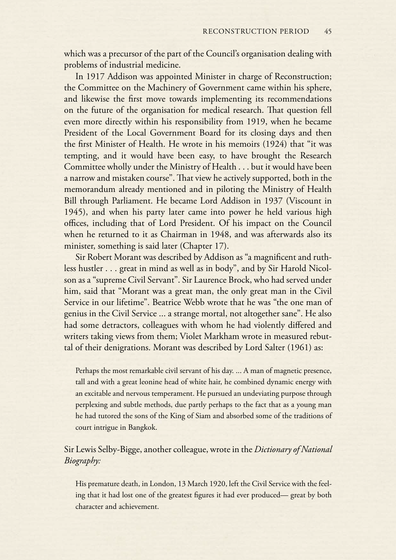which was a precursor of the part of the Council's organisation dealing with problems of industrial medicine.

In 1917 Addison was appointed Minister in charge of Reconstruction; the Committee on the Machinery of Government came within his sphere, and likewise the first move towards implementing its recommendations on the future of the organisation for medical research. That question fell even more directly within his responsibility from 1919, when he became President of the Local Government Board for its closing days and then the first Minister of Health. He wrote in his memoirs (1924) that "it was tempting, and it would have been easy, to have brought the Research Committee wholly under the Ministry of Health . . . but it would have been a narrow and mistaken course". That view he actively supported, both in the memorandum already mentioned and in piloting the Ministry of Health Bill through Parliament. He became Lord Addison in 1937 (Viscount in 1945), and when his party later came into power he held various high offices, including that of Lord President. Of his impact on the Council when he returned to it as Chairman in 1948, and was afterwards also its minister, something is said later (Chapter 17).

Sir Robert Morant was described by Addison as "a magnificent and ruthless hustler . . . great in mind as well as in body", and by Sir Harold Nicolson as a "supreme Civil Servant". Sir Laurence Brock, who had served under him, said that "Morant was a great man, the only great man in the Civil Service in our lifetime". Beatrice Webb wrote that he was "the one man of genius in the Civil Service ... a strange mortal, not altogether sane". He also had some detractors, colleagues with whom he had violently differed and writers taking views from them; Violet Markham wrote in measured rebuttal of their denigrations. Morant was described by Lord Salter (1961) as:

Perhaps the most remarkable civil servant of his day. ... A man of magnetic presence, tall and with a great leonine head of white hair, he combined dynamic energy with an excitable and nervous temperament. He pursued an undeviating purpose through perplexing and subtle methods, due partly perhaps to the fact that as a young man he had tutored the sons of the King of Siam and absorbed some of the traditions of court intrigue in Bangkok.

## Sir Lewis Selby-Bigge, another colleague, wrote in the *Dictionary of National Biography:*

His premature death, in London, 13 March 1920, left the Civil Service with the feeling that it had lost one of the greatest figures it had ever produced— great by both character and achievement.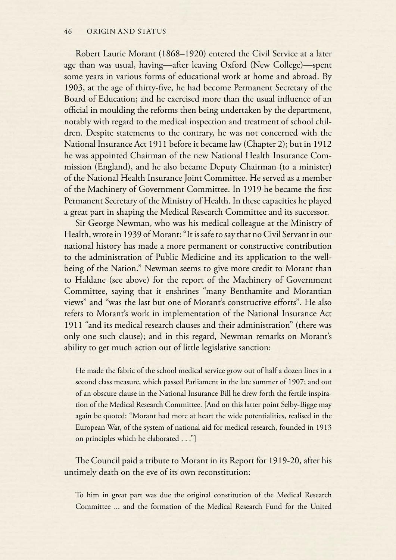Robert Laurie Morant (1868–1920) entered the Civil Service at a later age than was usual, having—after leaving Oxford (New College)—spent some years in various forms of educational work at home and abroad. By 1903, at the age of thirty-five, he had become Permanent Secretary of the Board of Education; and he exercised more than the usual influence of an official in moulding the reforms then being undertaken by the department, notably with regard to the medical inspection and treatment of school children. Despite statements to the contrary, he was not concerned with the National Insurance Act 1911 before it became law (Chapter 2); but in 1912 he was appointed Chairman of the new National Health Insurance Commission (England), and he also became Deputy Chairman (to a minister) of the National Health Insurance Joint Committee. He served as a member of the Machinery of Government Committee. In 1919 he became the first Permanent Secretary of the Ministry of Health. In these capacities he played a great part in shaping the Medical Research Committee and its successor.

Sir George Newman, who was his medical colleague at the Ministry of Health, wrote in 1939 of Morant: "It is safe to say that no Civil Servant in our national history has made a more permanent or constructive contribution to the administration of Public Medicine and its application to the wellbeing of the Nation." Newman seems to give more credit to Morant than to Haldane (see above) for the report of the Machinery of Government Committee, saying that it enshrines "many Benthamite and Morantian views" and "was the last but one of Morant's constructive efforts". He also refers to Morant's work in implementation of the National Insurance Act 1911 "and its medical research clauses and their administration" (there was only one such clause); and in this regard, Newman remarks on Morant's ability to get much action out of little legislative sanction:

He made the fabric of the school medical service grow out of half a dozen lines in a second class measure, which passed Parliament in the late summer of 1907; and out of an obscure clause in the National Insurance Bill he drew forth the fertile inspiration of the Medical Research Committee. [And on this latter point Selby-Bigge may again be quoted: "Morant had more at heart the wide potentialities, realised in the European War, of the system of national aid for medical research, founded in 1913 on principles which he elaborated . . ."]

The Council paid a tribute to Morant in its Report for 1919-20, after his untimely death on the eve of its own reconstitution:

To him in great part was due the original constitution of the Medical Research Committee ... and the formation of the Medical Research Fund for the United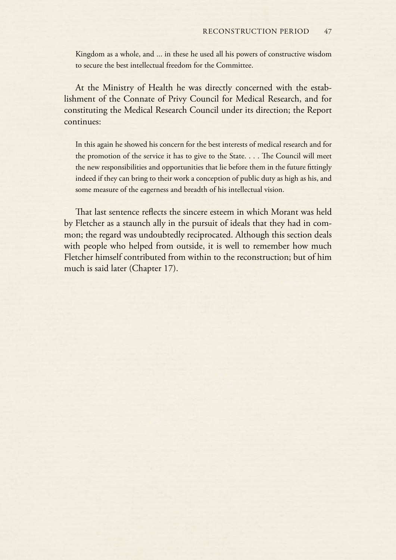Kingdom as a whole, and ... in these he used all his powers of constructive wisdom to secure the best intellectual freedom for the Committee.

At the Ministry of Health he was directly concerned with the establishment of the Connate of Privy Council for Medical Research, and for constituting the Medical Research Council under its direction; the Report continues:

In this again he showed his concern for the best interests of medical research and for the promotion of the service it has to give to the State. . . . The Council will meet the new responsibilities and opportunities that lie before them in the future fittingly indeed if they can bring to their work a conception of public duty as high as his, and some measure of the eagerness and breadth of his intellectual vision.

That last sentence reflects the sincere esteem in which Morant was held by Fletcher as a staunch ally in the pursuit of ideals that they had in common; the regard was undoubtedly reciprocated. Although this section deals with people who helped from outside, it is well to remember how much Fletcher himself contributed from within to the reconstruction; but of him much is said later (Chapter 17).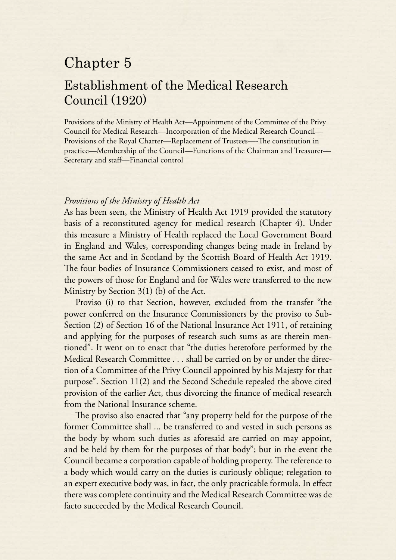# Chapter 5

# Establishment of the Medical Research Council (1920)

Provisions of the Ministry of Health Act—Appointment of the Committee of the Privy Council for Medical Research—Incorporation of the Medical Research Council— Provisions of the Royal Charter—Replacement of Trustees—-The constitution in practice—Membership of the Council—Functions of the Chairman and Treasurer— Secretary and staff—Financial control

#### *Provisions of the Ministry of Health Act*

As has been seen, the Ministry of Health Act 1919 provided the statutory basis of a reconstituted agency for medical research (Chapter 4). Under this measure a Ministry of Health replaced the Local Government Board in England and Wales, corresponding changes being made in Ireland by the same Act and in Scotland by the Scottish Board of Health Act 1919. The four bodies of Insurance Commissioners ceased to exist, and most of the powers of those for England and for Wales were transferred to the new Ministry by Section 3(1) (b) of the Act.

Proviso (i) to that Section, however, excluded from the transfer "the power conferred on the Insurance Commissioners by the proviso to Sub-Section (2) of Section 16 of the National Insurance Act 1911, of retaining and applying for the purposes of research such sums as are therein mentioned". It went on to enact that "the duties heretofore performed by the Medical Research Committee . . . shall be carried on by or under the direction of a Committee of the Privy Council appointed by his Majesty for that purpose". Section 11(2) and the Second Schedule repealed the above cited provision of the earlier Act, thus divorcing the finance of medical research from the National Insurance scheme.

The proviso also enacted that "any property held for the purpose of the former Committee shall ... be transferred to and vested in such persons as the body by whom such duties as aforesaid are carried on may appoint, and be held by them for the purposes of that body"; but in the event the Council became a corporation capable of holding property. The reference to a body which would carry on the duties is curiously oblique; relegation to an expert executive body was, in fact, the only practicable formula. In effect there was complete continuity and the Medical Research Committee was de facto succeeded by the Medical Research Council.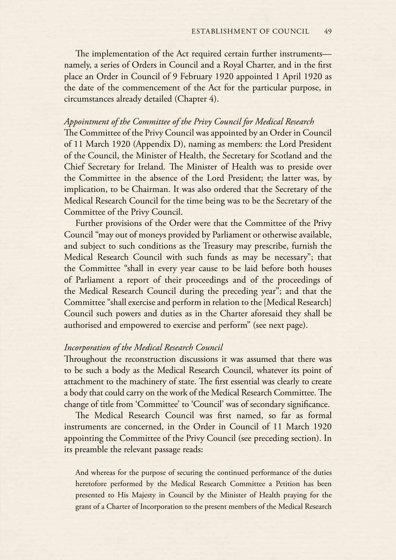The implementation of the Act required certain further instruments namely, a series of Orders in Council and a Royal Charter, and in the first place an Order in Council of 9 February 1920 appointed 1 April 1920 as the date of the commencement of the Act for the particular purpose, in circumstances already detailed (Chapter 4).

#### *Appointment of the Committee of the Privy Council for Medical Research*

The Committee of the Privy Council was appointed by an Order in Council of 11 March 1920 (Appendix D), naming as members: the Lord President of the Council, the Minister of Health, the Secretary for Scotland and the Chief Secretary for Ireland. The Minister of Health was to preside over the Committee in the absence of the Lord President; the latter was, by implication, to be Chairman. It was also ordered that the Secretary of the Medical Research Council for the time being was to be the Secretary of the Committee of the Privy Council.

Further provisions of the Order were that the Committee of the Privy Council "may out of moneys provided by Parliament or otherwise available, and subject to such conditions as the Treasury may prescribe, furnish the Medical Research Council with such funds as may be necessary"; that the Committee "shall in every year cause to be laid before both houses of Parliament a report of their proceedings and of the proceedings of the Medical Research Council during the preceding year"; and that the Committee "shall exercise and perform in relation to the [Medical Research] Council such powers and duties as in the Charter aforesaid they shall be authorised and empowered to exercise and perform" (see next page).

### *Incorporation of the Medical Research Council*

Throughout the reconstruction discussions it was assumed that there was to be such a body as the Medical Research Council, whatever its point of attachment to the machinery of state. The first essential was clearly to create a body that could carry on the work of the Medical Research Committee. The change of title from 'Committee' to 'Council' was of secondary significance.

The Medical Research Council was first named, so far as formal instruments are concerned, in the Order in Council of 11 March 1920 appointing the Committee of the Privy Council (see preceding section). In its preamble the relevant passage reads:

And whereas for the purpose of securing the continued performance of the duties heretofore performed by the Medical Research Committee a Petition has been presented to His Majesty in Council by the Minister of Health praying for the grant of a Charter of Incorporation to the present members of the Medical Research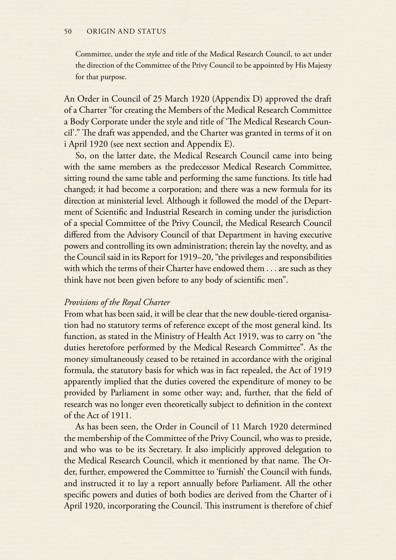#### 50 ORIGIN AND STATUS

Committee, under the style and title of the Medical Research Council, to act under the direction of the Committee of the Privy Council to be appointed by His Majesty for that purpose.

An Order in Council of 25 March 1920 (Appendix D) approved the draft of a Charter "for creating the Members of the Medical Research Committee a Body Corporate under the style and title of 'The Medical Research Council'." The draft was appended, and the Charter was granted in terms of it on i April 1920 (see next section and Appendix E).

So, on the latter date, the Medical Research Council came into being with the same members as the predecessor Medical Research Committee, sitting round the same table and performing the same functions. Its title had changed; it had become a corporation; and there was a new formula for its direction at ministerial level. Although it followed the model of the Department of Scientific and Industrial Research in coming under the jurisdiction of a special Committee of the Privy Council, the Medical Research Council differed from the Advisory Council of that Department in having executive powers and controlling its own administration; therein lay the novelty, and as the Council said in its Report for 1919–20, "the privileges and responsibilities with which the terms of their Charter have endowed them . . . are such as they think have not been given before to any body of scientific men".

### *Provisions of the Royal Charter*

From what has been said, it will be clear that the new double-tiered organisation had no statutory terms of reference except of the most general kind. Its function, as stated in the Ministry of Health Act 1919, was to carry on "the duties heretofore performed by the Medical Research Committee". As the money simultaneously ceased to be retained in accordance with the original formula, the statutory basis for which was in fact repealed, the Act of 1919 apparently implied that the duties covered the expenditure of money to be provided by Parliament in some other way; and, further, that the field of research was no longer even theoretically subject to definition in the context of the Act of 1911.

As has been seen, the Order in Council of 11 March 1920 determined the membership of the Committee of the Privy Council, who was to preside, and who was to be its Secretary. It also implicitly approved delegation to the Medical Research Council, which it mentioned by that name. The Order, further, empowered the Committee to 'furnish' the Council with funds, and instructed it to lay a report annually before Parliament. All the other specific powers and duties of both bodies are derived from the Charter of i April 1920, incorporating the Council. This instrument is therefore of chief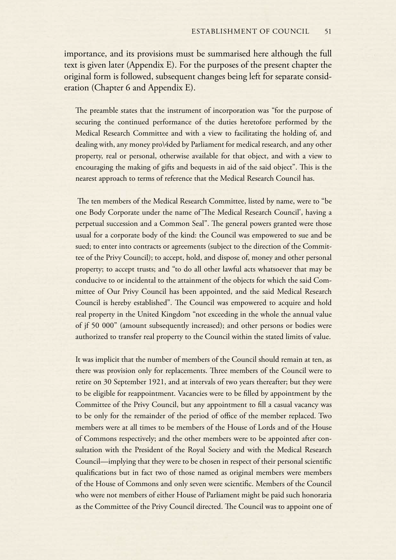importance, and its provisions must be summarised here although the full text is given later (Appendix E). For the purposes of the present chapter the original form is followed, subsequent changes being left for separate consideration (Chapter 6 and Appendix E).

The preamble states that the instrument of incorporation was "for the purpose of securing the continued performance of the duties heretofore performed by the Medical Research Committee and with a view to facilitating the holding of, and dealing with, any money pro\4ded by Parliament for medical research, and any other property, real or personal, otherwise available for that object, and with a view to encouraging the making of gifts and bequests in aid of the said object". This is the nearest approach to terms of reference that the Medical Research Council has.

 The ten members of the Medical Research Committee, listed by name, were to "be one Body Corporate under the name of'The Medical Research Council', having a perpetual succession and a Common Seal". The general powers granted were those usual for a corporate body of the kind: the Council was empowered to sue and be sued; to enter into contracts or agreements (subject to the direction of the Committee of the Privy Council); to accept, hold, and dispose of, money and other personal property; to accept trusts; and "to do all other lawful acts whatsoever that may be conducive to or incidental to the attainment of the objects for which the said Committee of Our Privy Council has been appointed, and the said Medical Research Council is hereby established". The Council was empowered to acquire and hold real property in the United Kingdom "not exceeding in the whole the annual value of jf 50 000" (amount subsequently increased); and other persons or bodies were authorized to transfer real property to the Council within the stated limits of value.

It was implicit that the number of members of the Council should remain at ten, as there was provision only for replacements. Three members of the Council were to retire on 30 September 1921, and at intervals of two years thereafter; but they were to be eligible for reappointment. Vacancies were to be filled by appointment by the Committee of the Privy Council, but any appointment to fill a casual vacancy was to be only for the remainder of the period of office of the member replaced. Two members were at all times to be members of the House of Lords and of the House of Commons respectively; and the other members were to be appointed after consultation with the President of the Royal Society and with the Medical Research Council—implying that they were to be chosen in respect of their personal scientific qualifications but in fact two of those named as original members were members of the House of Commons and only seven were scientific. Members of the Council who were not members of either House of Parliament might be paid such honoraria as the Committee of the Privy Council directed. The Council was to appoint one of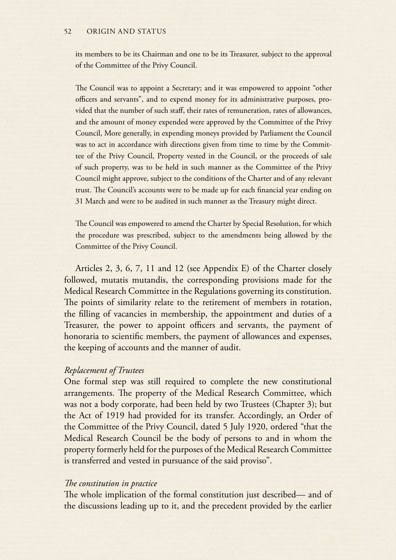its members to be its Chairman and one to be its Treasurer, subject to the approval of the Committee of the Privy Council.

The Council was to appoint a Secretary; and it was empowered to appoint "other officers and servants", and to expend money for its administrative purposes, provided that the number of such staff, their rates of remuneration, rates of allowances, and the amount of money expended were approved by the Committee of the Privy Council, More generally, in expending moneys provided by Parliament the Council was to act in accordance with directions given from time to time by the Committee of the Privy Council, Property vested in the Council, or the proceeds of sale of such property, was to be held in such manner as the Committee of the Privy Council might approve, subject to the conditions of the Charter and of any relevant trust. The Council's accounts were to be made up for each financial year ending on 31 March and were to be audited in such manner as the Treasury might direct.

The Council was empowered to amend the Charter by Special Resolution, for which the procedure was prescribed, subject to the amendments being allowed by the Committee of the Privy Council.

Articles 2, 3, 6, 7, 11 and 12 (see Appendix E) of the Charter closely followed, mutatis mutandis, the corresponding provisions made for the Medical Research Committee in the Regulations governing its constitution. The points of similarity relate to the retirement of members in rotation, the filling of vacancies in membership, the appointment and duties of a Treasurer, the power to appoint officers and servants, the payment of honoraria to scientific members, the payment of allowances and expenses, the keeping of accounts and the manner of audit.

#### *Replacement of Trustees*

One formal step was still required to complete the new constitutional arrangements. The property of the Medical Research Committee, which was not a body corporate, had been held by two Trustees (Chapter 3); but the Act of 1919 had provided for its transfer. Accordingly, an Order of the Committee of the Privy Council, dated 5 July 1920, ordered "that the Medical Research Council be the body of persons to and in whom the property formerly held for the purposes of the Medical Research Committee is transferred and vested in pursuance of the said proviso".

#### *The constitution in practice*

The whole implication of the formal constitution just described— and of the discussions leading up to it, and the precedent provided by the earlier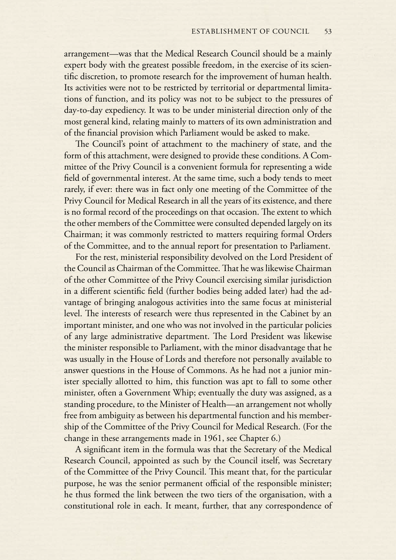arrangement—was that the Medical Research Council should be a mainly expert body with the greatest possible freedom, in the exercise of its scientific discretion, to promote research for the improvement of human health. Its activities were not to be restricted by territorial or departmental limitations of function, and its policy was not to be subject to the pressures of day-to-day expediency. It was to be under ministerial direction only of the most general kind, relating mainly to matters of its own administration and of the financial provision which Parliament would be asked to make.

The Council's point of attachment to the machinery of state, and the form of this attachment, were designed to provide these conditions. A Committee of the Privy Council is a convenient formula for representing a wide field of governmental interest. At the same time, such a body tends to meet rarely, if ever: there was in fact only one meeting of the Committee of the Privy Council for Medical Research in all the years of its existence, and there is no formal record of the proceedings on that occasion. The extent to which the other members of the Committee were consulted depended largely on its Chairman; it was commonly restricted to matters requiring formal Orders of the Committee, and to the annual report for presentation to Parliament.

For the rest, ministerial responsibility devolved on the Lord President of the Council as Chairman of the Committee. That he was likewise Chairman of the other Committee of the Privy Council exercising similar jurisdiction in a different scientific field (further bodies being added later) had the advantage of bringing analogous activities into the same focus at ministerial level. The interests of research were thus represented in the Cabinet by an important minister, and one who was not involved in the particular policies of any large administrative department. The Lord President was likewise the minister responsible to Parliament, with the minor disadvantage that he was usually in the House of Lords and therefore not personally available to answer questions in the House of Commons. As he had not a junior minister specially allotted to him, this function was apt to fall to some other minister, often a Government Whip; eventually the duty was assigned, as a standing procedure, to the Minister of Health—an arrangement not wholly free from ambiguity as between his departmental function and his membership of the Committee of the Privy Council for Medical Research. (For the change in these arrangements made in 1961, see Chapter 6.)

A significant item in the formula was that the Secretary of the Medical Research Council, appointed as such by the Council itself, was Secretary of the Committee of the Privy Council. This meant that, for the particular purpose, he was the senior permanent official of the responsible minister; he thus formed the link between the two tiers of the organisation, with a constitutional role in each. It meant, further, that any correspondence of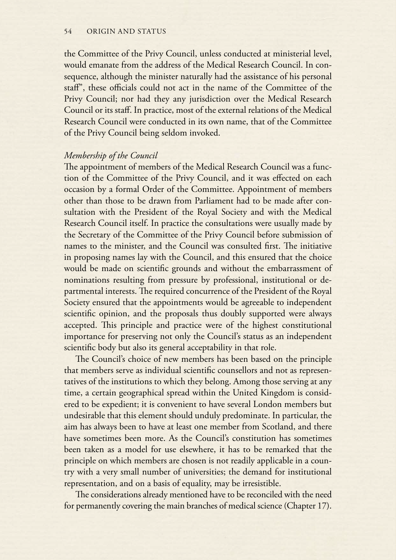the Committee of the Privy Council, unless conducted at ministerial level, would emanate from the address of the Medical Research Council. In consequence, although the minister naturally had the assistance of his personal staff", these officials could not act in the name of the Committee of the Privy Council; nor had they any jurisdiction over the Medical Research Council or its staff. In practice, most of the external relations of the Medical Research Council were conducted in its own name, that of the Committee of the Privy Council being seldom invoked.

#### *Membership of the Council*

The appointment of members of the Medical Research Council was a function of the Committee of the Privy Council, and it was effected on each occasion by a formal Order of the Committee. Appointment of members other than those to be drawn from Parliament had to be made after consultation with the President of the Royal Society and with the Medical Research Council itself. In practice the consultations were usually made by the Secretary of the Committee of the Privy Council before submission of names to the minister, and the Council was consulted first. The initiative in proposing names lay with the Council, and this ensured that the choice would be made on scientific grounds and without the embarrassment of nominations resulting from pressure by professional, institutional or departmental interests. The required concurrence of the President of the Royal Society ensured that the appointments would be agreeable to independent scientific opinion, and the proposals thus doubly supported were always accepted. This principle and practice were of the highest constitutional importance for preserving not only the Council's status as an independent scientific body but also its general acceptability in that role.

The Council's choice of new members has been based on the principle that members serve as individual scientific counsellors and not as representatives of the institutions to which they belong. Among those serving at any time, a certain geographical spread within the United Kingdom is considered to be expedient; it is convenient to have several London members but undesirable that this element should unduly predominate. In particular, the aim has always been to have at least one member from Scotland, and there have sometimes been more. As the Council's constitution has sometimes been taken as a model for use elsewhere, it has to be remarked that the principle on which members are chosen is not readily applicable in a country with a very small number of universities; the demand for institutional representation, and on a basis of equality, may be irresistible.

The considerations already mentioned have to be reconciled with the need for permanently covering the main branches of medical science (Chapter 17).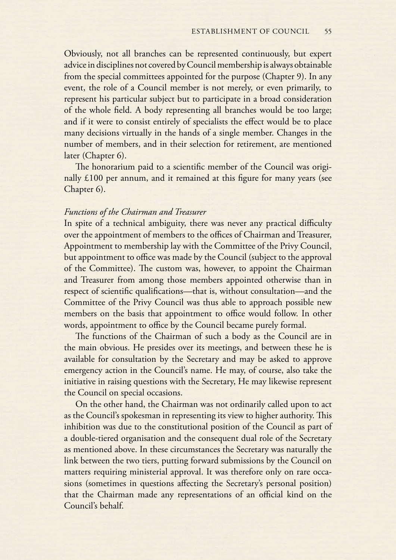Obviously, not all branches can be represented continuously, but expert advice in disciplines not covered by Council membership is always obtainable from the special committees appointed for the purpose (Chapter 9). In any event, the role of a Council member is not merely, or even primarily, to represent his particular subject but to participate in a broad consideration of the whole field. A body representing all branches would be too large; and if it were to consist entirely of specialists the effect would be to place many decisions virtually in the hands of a single member. Changes in the number of members, and in their selection for retirement, are mentioned later (Chapter 6).

The honorarium paid to a scientific member of the Council was originally £100 per annum, and it remained at this figure for many years (see Chapter 6).

#### *Functions of the Chairman and Treasurer*

In spite of a technical ambiguity, there was never any practical difficulty over the appointment of members to the offices of Chairman and Treasurer, Appointment to membership lay with the Committee of the Privy Council, but appointment to office was made by the Council (subject to the approval of the Committee). The custom was, however, to appoint the Chairman and Treasurer from among those members appointed otherwise than in respect of scientific qualifications—that is, without consultation—and the Committee of the Privy Council was thus able to approach possible new members on the basis that appointment to office would follow. In other words, appointment to office by the Council became purely formal.

The functions of the Chairman of such a body as the Council are in the main obvious. He presides over its meetings, and between these he is available for consultation by the Secretary and may be asked to approve emergency action in the Council's name. He may, of course, also take the initiative in raising questions with the Secretary, He may likewise represent the Council on special occasions.

On the other hand, the Chairman was not ordinarily called upon to act as the Council's spokesman in representing its view to higher authority. This inhibition was due to the constitutional position of the Council as part of a double-tiered organisation and the consequent dual role of the Secretary as mentioned above. In these circumstances the Secretary was naturally the link between the two tiers, putting forward submissions by the Council on matters requiring ministerial approval. It was therefore only on rare occasions (sometimes in questions affecting the Secretary's personal position) that the Chairman made any representations of an official kind on the Council's behalf.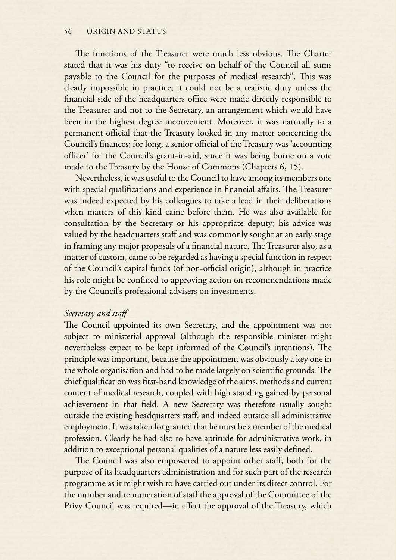The functions of the Treasurer were much less obvious. The Charter stated that it was his duty "to receive on behalf of the Council all sums payable to the Council for the purposes of medical research". This was clearly impossible in practice; it could not be a realistic duty unless the financial side of the headquarters office were made directly responsible to the Treasurer and not to the Secretary, an arrangement which would have been in the highest degree inconvenient. Moreover, it was naturally to a permanent official that the Treasury looked in any matter concerning the Council's finances; for long, a senior official of the Treasury was 'accounting officer' for the Council's grant-in-aid, since it was being borne on a vote made to the Treasury by the House of Commons (Chapters 6, 15).

Nevertheless, it was useful to the Council to have among its members one with special qualifications and experience in financial affairs. The Treasurer was indeed expected by his colleagues to take a lead in their deliberations when matters of this kind came before them. He was also available for consultation by the Secretary or his appropriate deputy; his advice was valued by the headquarters staff and was commonly sought at an early stage in framing any major proposals of a financial nature. The Treasurer also, as a matter of custom, came to be regarded as having a special function in respect of the Council's capital funds (of non-official origin), although in practice his role might be confined to approving action on recommendations made by the Council's professional advisers on investments.

#### *Secretary and staff*

The Council appointed its own Secretary, and the appointment was not subject to ministerial approval (although the responsible minister might nevertheless expect to be kept informed of the Council's intentions). The principle was important, because the appointment was obviously a key one in the whole organisation and had to be made largely on scientific grounds. The chief qualification was first-hand knowledge of the aims, methods and current content of medical research, coupled with high standing gained by personal achievement in that field. A new Secretary was therefore usually sought outside the existing headquarters staff, and indeed outside all administrative employment. It was taken for granted that he must be a member of the medical profession. Clearly he had also to have aptitude for administrative work, in addition to exceptional personal qualities of a nature less easily defined.

The Council was also empowered to appoint other staff, both for the purpose of its headquarters administration and for such part of the research programme as it might wish to have carried out under its direct control. For the number and remuneration of staff the approval of the Committee of the Privy Council was required—in effect the approval of the Treasury, which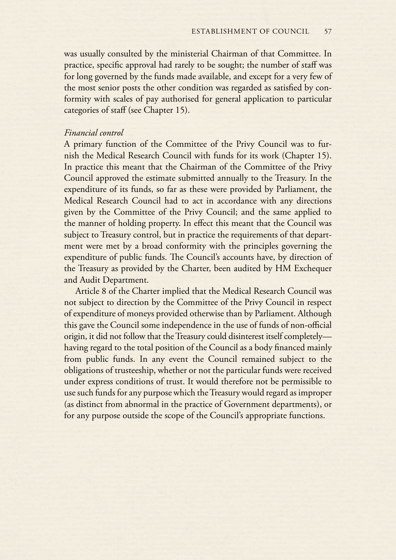was usually consulted by the ministerial Chairman of that Committee. In practice, specific approval had rarely to be sought; the number of staff was for long governed by the funds made available, and except for a very few of the most senior posts the other condition was regarded as satisfied by conformity with scales of pay authorised for general application to particular categories of staff (see Chapter 15).

#### *Financial control*

A primary function of the Committee of the Privy Council was to furnish the Medical Research Council with funds for its work (Chapter 15). In practice this meant that the Chairman of the Committee of the Privy Council approved the estimate submitted annually to the Treasury. In the expenditure of its funds, so far as these were provided by Parliament, the Medical Research Council had to act in accordance with any directions given by the Committee of the Privy Council; and the same applied to the manner of holding property. In effect this meant that the Council was subject to Treasury control, but in practice the requirements of that department were met by a broad conformity with the principles governing the expenditure of public funds. The Council's accounts have, by direction of the Treasury as provided by the Charter, been audited by HM Exchequer and Audit Department.

Article 8 of the Charter implied that the Medical Research Council was not subject to direction by the Committee of the Privy Council in respect of expenditure of moneys provided otherwise than by Parliament. Although this gave the Council some independence in the use of funds of non-official origin, it did not follow that the Treasury could disinterest itself completely having regard to the total position of the Council as a body financed mainly from public funds. In any event the Council remained subject to the obligations of trusteeship, whether or not the particular funds were received under express conditions of trust. It would therefore not be permissible to use such funds for any purpose which the Treasury would regard as improper (as distinct from abnormal in the practice of Government departments), or for any purpose outside the scope of the Council's appropriate functions.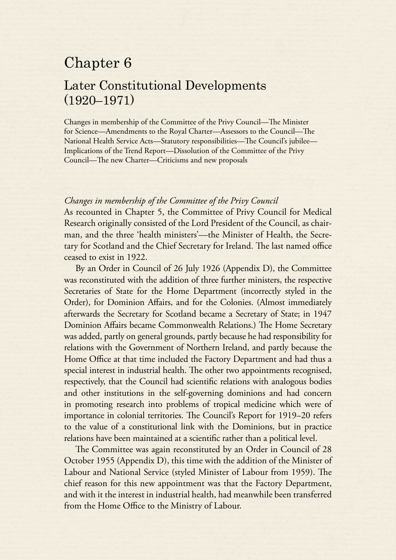# Chapter 6

# Later Constitutional Developments (1920–1971)

Changes in membership of the Committee of the Privy Council—The Minister for Science—Amendments to the Royal Charter—Assessors to the Council—The National Health Service Acts—Statutory responsibilities—The Council's jubilee— Implications of the Trend Report—Dissolution of the Committee of the Privy Council—The new Charter—Criticisms and new proposals

### *Changes in membership of the Committee of the Privy Council*

As recounted in Chapter 5, the Committee of Privy Council for Medical Research originally consisted of the Lord President of the Council, as chairman, and the three 'health ministers'—the Minister of Health, the Secretary for Scotland and the Chief Secretary for Ireland. The last named office ceased to exist in 1922.

By an Order in Council of 26 July 1926 (Appendix D), the Committee was reconstituted with the addition of three further ministers, the respective Secretaries of State for the Home Department (incorrectly styled in the Order), for Dominion Affairs, and for the Colonies. (Almost immediately afterwards the Secretary for Scotland became a Secretary of State; in 1947 Dominion Affairs became Commonwealth Relations.) The Home Secretary was added, partly on general grounds, partly because he had responsibility for relations with the Government of Northern Ireland, and partly because the Home Office at that time included the Factory Department and had thus a special interest in industrial health. The other two appointments recognised, respectively, that the Council had scientific relations with analogous bodies and other institutions in the self-governing dominions and had concern in promoting research into problems of tropical medicine which were of importance in colonial territories. The Council's Report for 1919–20 refers to the value of a constitutional link with the Dominions, but in practice relations have been maintained at a scientific rather than a political level.

The Committee was again reconstituted by an Order in Council of 28 October 1955 (Appendix D), this time with the addition of the Minister of Labour and National Service (styled Minister of Labour from 1959). The chief reason for this new appointment was that the Factory Department, and with it the interest in industrial health, had meanwhile been transferred from the Home Office to the Ministry of Labour.